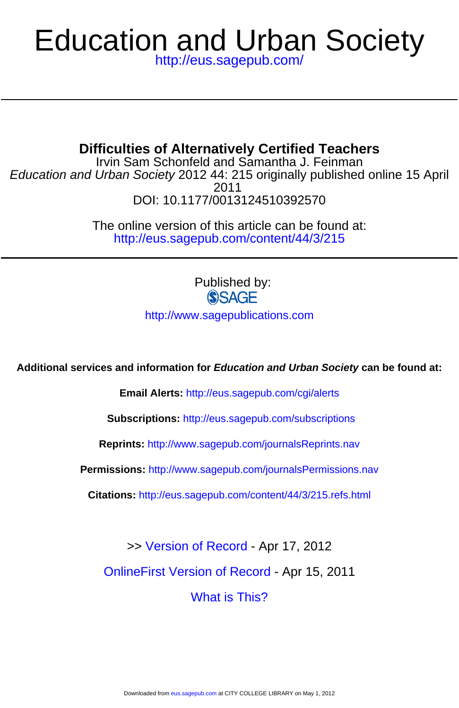# <http://eus.sagepub.com/> Education and Urban Society

**Difficulties of Alternatively Certified Teachers**

DOI: 10.1177/0013124510392570 2011 Education and Urban Society 2012 44: 215 originally published online 15 April Irvin Sam Schonfeld and Samantha J. Feinman

> <http://eus.sagepub.com/content/44/3/215> The online version of this article can be found at:

> > Published by:<br>SAGE <http://www.sagepublications.com>

**Additional services and information for Education and Urban Society can be found at:**

**Email Alerts:** <http://eus.sagepub.com/cgi/alerts>

**Subscriptions:** <http://eus.sagepub.com/subscriptions>

**Reprints:** <http://www.sagepub.com/journalsReprints.nav>

**Permissions:** <http://www.sagepub.com/journalsPermissions.nav>

**Citations:** <http://eus.sagepub.com/content/44/3/215.refs.html>

>> [Version of Record -](http://eus.sagepub.com/content/44/3/215.full.pdf) Apr 17, 2012

[OnlineFirst Version of Record](http://eus.sagepub.com/content/early/2011/01/10/0013124510392570.full.pdf) - Apr 15, 2011

[What is This?](http://online.sagepub.com/site/sphelp/vorhelp.xhtml)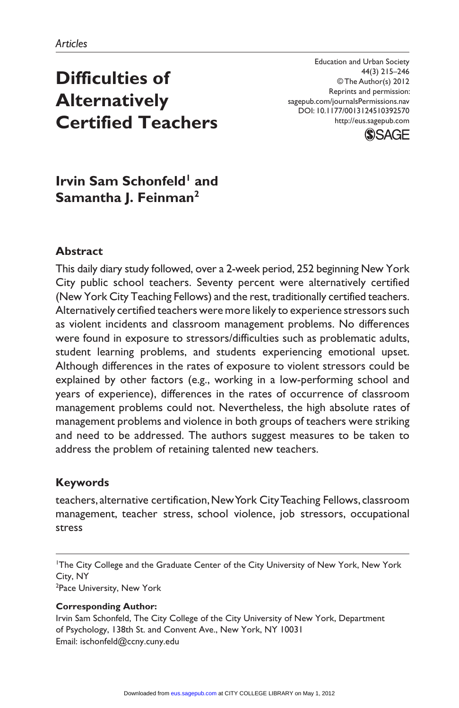# **Difficulties of Alternatively Certified Teachers**

Education and Urban Society 44(3) 215–246 © The Author(s) 2012 Reprints and permission: sagepub.com/journalsPermissions.nav DOI: 10.1177/0013124510392570 http://eus.sagepub.com



## **Irvin Sam Schonfeld<sup>1</sup> and Samantha J. Feinman2**

#### **Abstract**

This daily diary study followed, over a 2-week period, 252 beginning New York City public school teachers. Seventy percent were alternatively certified (New York City Teaching Fellows) and the rest, traditionally certified teachers. Alternatively certified teachers were more likely to experience stressors such as violent incidents and classroom management problems. No differences were found in exposure to stressors/difficulties such as problematic adults, student learning problems, and students experiencing emotional upset. Although differences in the rates of exposure to violent stressors could be explained by other factors (e.g., working in a low-performing school and years of experience), differences in the rates of occurrence of classroom management problems could not. Nevertheless, the high absolute rates of management problems and violence in both groups of teachers were striking and need to be addressed. The authors suggest measures to be taken to address the problem of retaining talented new teachers.

#### **Keywords**

teachers, alternative certification, New York City Teaching Fellows, classroom management, teacher stress, school violence, job stressors, occupational stress

<sup>1</sup>The City College and the Graduate Center of the City University of New York, New York City, NY <sup>2</sup>Pace University, New York

**Corresponding Author:**

Irvin Sam Schonfeld, The City College of the City University of New York, Department of Psychology, 138th St. and Convent Ave., New York, NY 10031 Email: ischonfeld@ccny.cuny.edu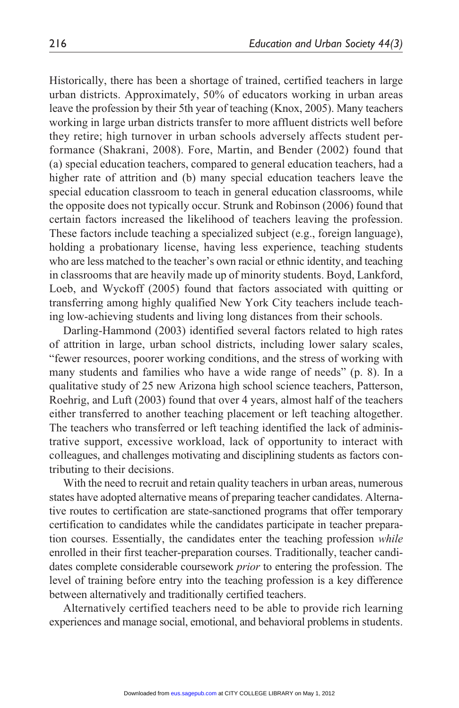Historically, there has been a shortage of trained, certified teachers in large urban districts. Approximately, 50% of educators working in urban areas leave the profession by their 5th year of teaching (Knox, 2005). Many teachers working in large urban districts transfer to more affluent districts well before they retire; high turnover in urban schools adversely affects student performance (Shakrani, 2008). Fore, Martin, and Bender (2002) found that (a) special education teachers, compared to general education teachers, had a higher rate of attrition and (b) many special education teachers leave the special education classroom to teach in general education classrooms, while the opposite does not typically occur. Strunk and Robinson (2006) found that certain factors increased the likelihood of teachers leaving the profession. These factors include teaching a specialized subject (e.g., foreign language), holding a probationary license, having less experience, teaching students who are less matched to the teacher's own racial or ethnic identity, and teaching in classrooms that are heavily made up of minority students. Boyd, Lankford, Loeb, and Wyckoff (2005) found that factors associated with quitting or transferring among highly qualified New York City teachers include teaching low-achieving students and living long distances from their schools.

Darling-Hammond (2003) identified several factors related to high rates of attrition in large, urban school districts, including lower salary scales, "fewer resources, poorer working conditions, and the stress of working with many students and families who have a wide range of needs" (p. 8). In a qualitative study of 25 new Arizona high school science teachers, Patterson, Roehrig, and Luft (2003) found that over 4 years, almost half of the teachers either transferred to another teaching placement or left teaching altogether. The teachers who transferred or left teaching identified the lack of administrative support, excessive workload, lack of opportunity to interact with colleagues, and challenges motivating and disciplining students as factors contributing to their decisions.

With the need to recruit and retain quality teachers in urban areas, numerous states have adopted alternative means of preparing teacher candidates. Alternative routes to certification are state-sanctioned programs that offer temporary certification to candidates while the candidates participate in teacher preparation courses. Essentially, the candidates enter the teaching profession *while* enrolled in their first teacher-preparation courses. Traditionally, teacher candidates complete considerable coursework *prior* to entering the profession. The level of training before entry into the teaching profession is a key difference between alternatively and traditionally certified teachers.

Alternatively certified teachers need to be able to provide rich learning experiences and manage social, emotional, and behavioral problems in students.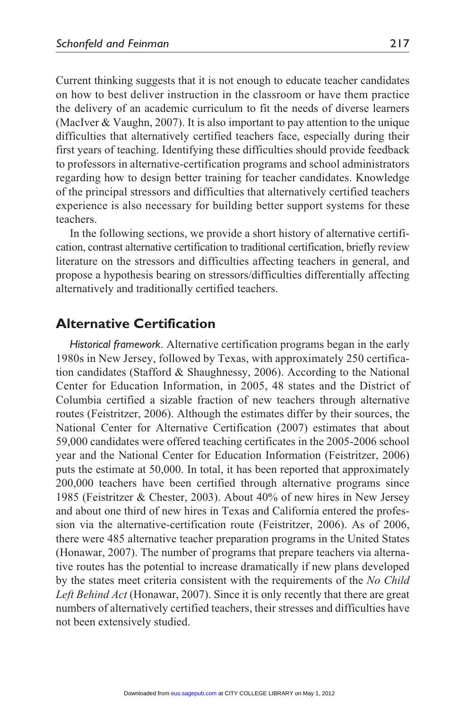Current thinking suggests that it is not enough to educate teacher candidates on how to best deliver instruction in the classroom or have them practice the delivery of an academic curriculum to fit the needs of diverse learners (MacIver & Vaughn, 2007). It is also important to pay attention to the unique difficulties that alternatively certified teachers face, especially during their first years of teaching. Identifying these difficulties should provide feedback to professors in alternative-certification programs and school administrators regarding how to design better training for teacher candidates. Knowledge of the principal stressors and difficulties that alternatively certified teachers experience is also necessary for building better support systems for these teachers.

In the following sections, we provide a short history of alternative certification, contrast alternative certification to traditional certification, briefly review literature on the stressors and difficulties affecting teachers in general, and propose a hypothesis bearing on stressors/difficulties differentially affecting alternatively and traditionally certified teachers.

## **Alternative Certification**

*Historical framework*. Alternative certification programs began in the early 1980s in New Jersey, followed by Texas, with approximately 250 certification candidates (Stafford & Shaughnessy, 2006). According to the National Center for Education Information, in 2005, 48 states and the District of Columbia certified a sizable fraction of new teachers through alternative routes (Feistritzer, 2006). Although the estimates differ by their sources, the National Center for Alternative Certification (2007) estimates that about 59,000 candidates were offered teaching certificates in the 2005-2006 school year and the National Center for Education Information (Feistritzer, 2006) puts the estimate at 50,000. In total, it has been reported that approximately 200,000 teachers have been certified through alternative programs since 1985 (Feistritzer & Chester, 2003). About 40% of new hires in New Jersey and about one third of new hires in Texas and California entered the profession via the alternative-certification route (Feistritzer, 2006). As of 2006, there were 485 alternative teacher preparation programs in the United States (Honawar, 2007). The number of programs that prepare teachers via alternative routes has the potential to increase dramatically if new plans developed by the states meet criteria consistent with the requirements of the *No Child Left Behind Act* (Honawar, 2007). Since it is only recently that there are great numbers of alternatively certified teachers, their stresses and difficulties have not been extensively studied.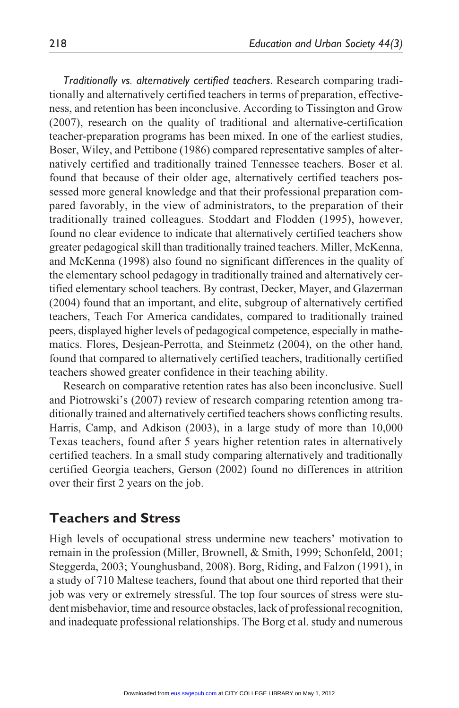*Traditionally vs. alternatively certified teachers*. Research comparing traditionally and alternatively certified teachers in terms of preparation, effectiveness, and retention has been inconclusive. According to Tissington and Grow (2007), research on the quality of traditional and alternative-certification teacher-preparation programs has been mixed. In one of the earliest studies, Boser, Wiley, and Pettibone (1986) compared representative samples of alternatively certified and traditionally trained Tennessee teachers. Boser et al. found that because of their older age, alternatively certified teachers possessed more general knowledge and that their professional preparation compared favorably, in the view of administrators, to the preparation of their traditionally trained colleagues. Stoddart and Flodden (1995), however, found no clear evidence to indicate that alternatively certified teachers show greater pedagogical skill than traditionally trained teachers. Miller, McKenna, and McKenna (1998) also found no significant differences in the quality of the elementary school pedagogy in traditionally trained and alternatively certified elementary school teachers. By contrast, Decker, Mayer, and Glazerman (2004) found that an important, and elite, subgroup of alternatively certified teachers, Teach For America candidates, compared to traditionally trained peers, displayed higher levels of pedagogical competence, especially in mathematics. Flores, Desjean-Perrotta, and Steinmetz (2004), on the other hand, found that compared to alternatively certified teachers, traditionally certified teachers showed greater confidence in their teaching ability.

Research on comparative retention rates has also been inconclusive. Suell and Piotrowski's (2007) review of research comparing retention among traditionally trained and alternatively certified teachers shows conflicting results. Harris, Camp, and Adkison (2003), in a large study of more than 10,000 Texas teachers, found after 5 years higher retention rates in alternatively certified teachers. In a small study comparing alternatively and traditionally certified Georgia teachers, Gerson (2002) found no differences in attrition over their first 2 years on the job.

## **Teachers and Stress**

High levels of occupational stress undermine new teachers' motivation to remain in the profession (Miller, Brownell, & Smith, 1999; Schonfeld, 2001; Steggerda, 2003; Younghusband, 2008). Borg, Riding, and Falzon (1991), in a study of 710 Maltese teachers, found that about one third reported that their job was very or extremely stressful. The top four sources of stress were student misbehavior, time and resource obstacles, lack of professional recognition, and inadequate professional relationships. The Borg et al. study and numerous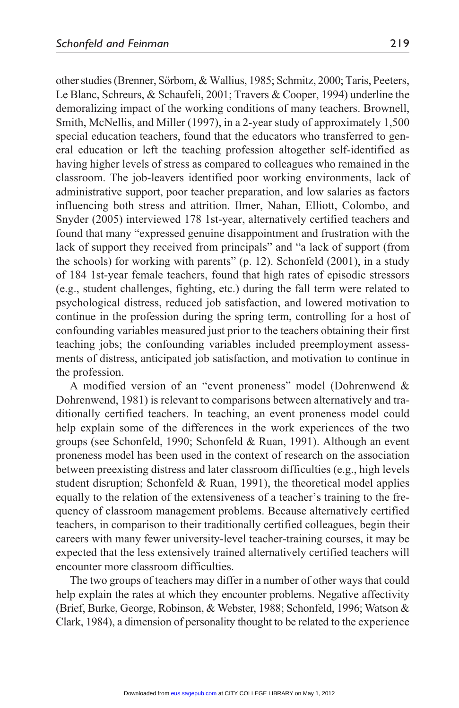other studies (Brenner, Sörbom, & Wallius, 1985; Schmitz, 2000; Taris, Peeters, Le Blanc, Schreurs, & Schaufeli, 2001; Travers & Cooper, 1994) underline the demoralizing impact of the working conditions of many teachers. Brownell, Smith, McNellis, and Miller (1997), in a 2-year study of approximately 1,500 special education teachers, found that the educators who transferred to general education or left the teaching profession altogether self-identified as having higher levels of stress as compared to colleagues who remained in the classroom. The job-leavers identified poor working environments, lack of administrative support, poor teacher preparation, and low salaries as factors influencing both stress and attrition. Ilmer, Nahan, Elliott, Colombo, and Snyder (2005) interviewed 178 1st-year, alternatively certified teachers and found that many "expressed genuine disappointment and frustration with the lack of support they received from principals" and "a lack of support (from the schools) for working with parents" (p. 12). Schonfeld (2001), in a study of 184 1st-year female teachers, found that high rates of episodic stressors (e.g., student challenges, fighting, etc.) during the fall term were related to psychological distress, reduced job satisfaction, and lowered motivation to continue in the profession during the spring term, controlling for a host of confounding variables measured just prior to the teachers obtaining their first teaching jobs; the confounding variables included preemployment assessments of distress, anticipated job satisfaction, and motivation to continue in the profession.

A modified version of an "event proneness" model (Dohrenwend & Dohrenwend, 1981) is relevant to comparisons between alternatively and traditionally certified teachers. In teaching, an event proneness model could help explain some of the differences in the work experiences of the two groups (see Schonfeld, 1990; Schonfeld & Ruan, 1991). Although an event proneness model has been used in the context of research on the association between preexisting distress and later classroom difficulties (e.g., high levels student disruption; Schonfeld & Ruan, 1991), the theoretical model applies equally to the relation of the extensiveness of a teacher's training to the frequency of classroom management problems. Because alternatively certified teachers, in comparison to their traditionally certified colleagues, begin their careers with many fewer university-level teacher-training courses, it may be expected that the less extensively trained alternatively certified teachers will encounter more classroom difficulties.

The two groups of teachers may differ in a number of other ways that could help explain the rates at which they encounter problems. Negative affectivity (Brief, Burke, George, Robinson, & Webster, 1988; Schonfeld, 1996; Watson & Clark, 1984), a dimension of personality thought to be related to the experience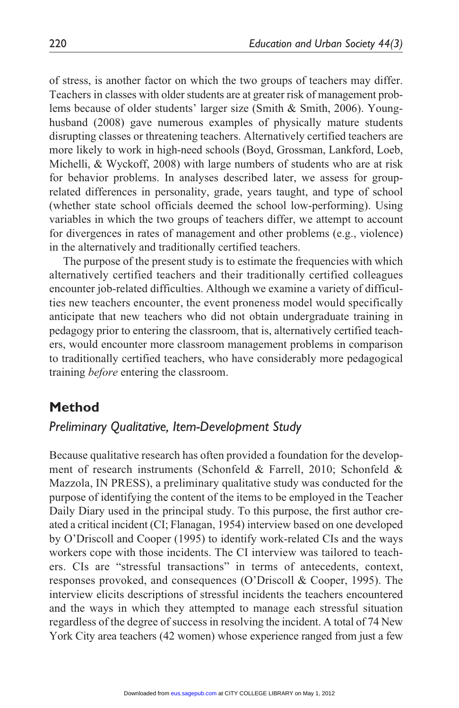of stress, is another factor on which the two groups of teachers may differ. Teachers in classes with older students are at greater risk of management problems because of older students' larger size (Smith & Smith, 2006). Younghusband (2008) gave numerous examples of physically mature students disrupting classes or threatening teachers. Alternatively certified teachers are more likely to work in high-need schools (Boyd, Grossman, Lankford, Loeb, Michelli, & Wyckoff, 2008) with large numbers of students who are at risk for behavior problems. In analyses described later, we assess for grouprelated differences in personality, grade, years taught, and type of school (whether state school officials deemed the school low-performing). Using variables in which the two groups of teachers differ, we attempt to account for divergences in rates of management and other problems (e.g., violence) in the alternatively and traditionally certified teachers.

The purpose of the present study is to estimate the frequencies with which alternatively certified teachers and their traditionally certified colleagues encounter job-related difficulties. Although we examine a variety of difficulties new teachers encounter, the event proneness model would specifically anticipate that new teachers who did not obtain undergraduate training in pedagogy prior to entering the classroom, that is, alternatively certified teachers, would encounter more classroom management problems in comparison to traditionally certified teachers, who have considerably more pedagogical training *before* entering the classroom.

## **Method**

#### *Preliminary Qualitative, Item-Development Study*

Because qualitative research has often provided a foundation for the development of research instruments (Schonfeld & Farrell, 2010; Schonfeld & Mazzola, IN PRESS), a preliminary qualitative study was conducted for the purpose of identifying the content of the items to be employed in the Teacher Daily Diary used in the principal study. To this purpose, the first author created a critical incident (CI; Flanagan, 1954) interview based on one developed by O'Driscoll and Cooper (1995) to identify work-related CIs and the ways workers cope with those incidents. The CI interview was tailored to teachers. CIs are "stressful transactions" in terms of antecedents, context, responses provoked, and consequences (O'Driscoll & Cooper, 1995). The interview elicits descriptions of stressful incidents the teachers encountered and the ways in which they attempted to manage each stressful situation regardless of the degree of success in resolving the incident. A total of 74 New York City area teachers (42 women) whose experience ranged from just a few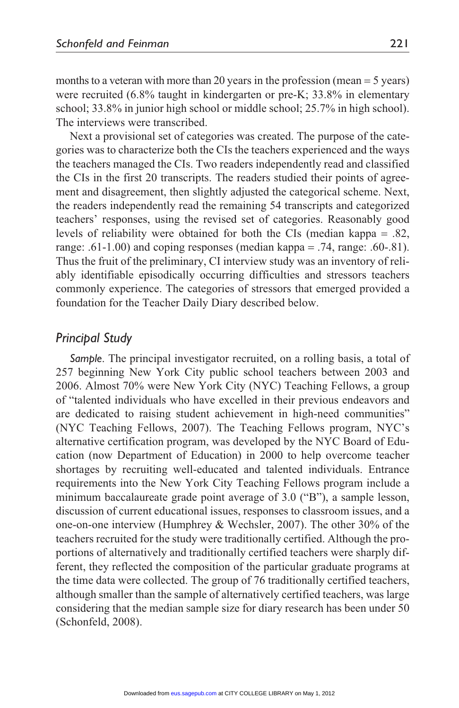months to a veteran with more than 20 years in the profession (mean  $=$  5 years) were recruited (6.8% taught in kindergarten or pre-K; 33.8% in elementary school; 33.8% in junior high school or middle school; 25.7% in high school). The interviews were transcribed.

Next a provisional set of categories was created. The purpose of the categories was to characterize both the CIs the teachers experienced and the ways the teachers managed the CIs. Two readers independently read and classified the CIs in the first 20 transcripts. The readers studied their points of agreement and disagreement, then slightly adjusted the categorical scheme. Next, the readers independently read the remaining 54 transcripts and categorized teachers' responses, using the revised set of categories. Reasonably good levels of reliability were obtained for both the CIs (median kappa = .82, range:  $.61-1.00$  and coping responses (median kappa =  $.74$ , range:  $.60-.81$ ). Thus the fruit of the preliminary, CI interview study was an inventory of reliably identifiable episodically occurring difficulties and stressors teachers commonly experience. The categories of stressors that emerged provided a foundation for the Teacher Daily Diary described below.

#### *Principal Study*

*Sample*. The principal investigator recruited, on a rolling basis, a total of 257 beginning New York City public school teachers between 2003 and 2006. Almost 70% were New York City (NYC) Teaching Fellows, a group of "talented individuals who have excelled in their previous endeavors and are dedicated to raising student achievement in high-need communities" (NYC Teaching Fellows, 2007). The Teaching Fellows program, NYC's alternative certification program, was developed by the NYC Board of Education (now Department of Education) in 2000 to help overcome teacher shortages by recruiting well-educated and talented individuals. Entrance requirements into the New York City Teaching Fellows program include a minimum baccalaureate grade point average of 3.0 ("B"), a sample lesson, discussion of current educational issues, responses to classroom issues, and a one-on-one interview (Humphrey & Wechsler, 2007). The other 30% of the teachers recruited for the study were traditionally certified. Although the proportions of alternatively and traditionally certified teachers were sharply different, they reflected the composition of the particular graduate programs at the time data were collected. The group of 76 traditionally certified teachers, although smaller than the sample of alternatively certified teachers, was large considering that the median sample size for diary research has been under 50 (Schonfeld, 2008).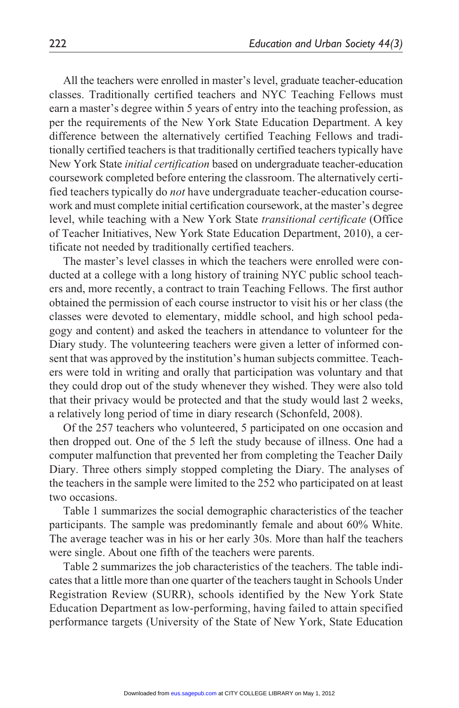All the teachers were enrolled in master's level, graduate teacher-education classes. Traditionally certified teachers and NYC Teaching Fellows must earn a master's degree within 5 years of entry into the teaching profession, as per the requirements of the New York State Education Department. A key difference between the alternatively certified Teaching Fellows and traditionally certified teachers is that traditionally certified teachers typically have New York State *initial certification* based on undergraduate teacher-education coursework completed before entering the classroom. The alternatively certified teachers typically do *not* have undergraduate teacher-education coursework and must complete initial certification coursework, at the master's degree level, while teaching with a New York State *transitional certificate* (Office of Teacher Initiatives, New York State Education Department, 2010), a certificate not needed by traditionally certified teachers.

The master's level classes in which the teachers were enrolled were conducted at a college with a long history of training NYC public school teachers and, more recently, a contract to train Teaching Fellows. The first author obtained the permission of each course instructor to visit his or her class (the classes were devoted to elementary, middle school, and high school pedagogy and content) and asked the teachers in attendance to volunteer for the Diary study. The volunteering teachers were given a letter of informed consent that was approved by the institution's human subjects committee. Teachers were told in writing and orally that participation was voluntary and that they could drop out of the study whenever they wished. They were also told that their privacy would be protected and that the study would last 2 weeks, a relatively long period of time in diary research (Schonfeld, 2008).

Of the 257 teachers who volunteered, 5 participated on one occasion and then dropped out. One of the 5 left the study because of illness. One had a computer malfunction that prevented her from completing the Teacher Daily Diary. Three others simply stopped completing the Diary. The analyses of the teachers in the sample were limited to the 252 who participated on at least two occasions.

Table 1 summarizes the social demographic characteristics of the teacher participants. The sample was predominantly female and about 60% White. The average teacher was in his or her early 30s. More than half the teachers were single. About one fifth of the teachers were parents.

Table 2 summarizes the job characteristics of the teachers. The table indicates that a little more than one quarter of the teachers taught in Schools Under Registration Review (SURR), schools identified by the New York State Education Department as low-performing, having failed to attain specified performance targets (University of the State of New York, State Education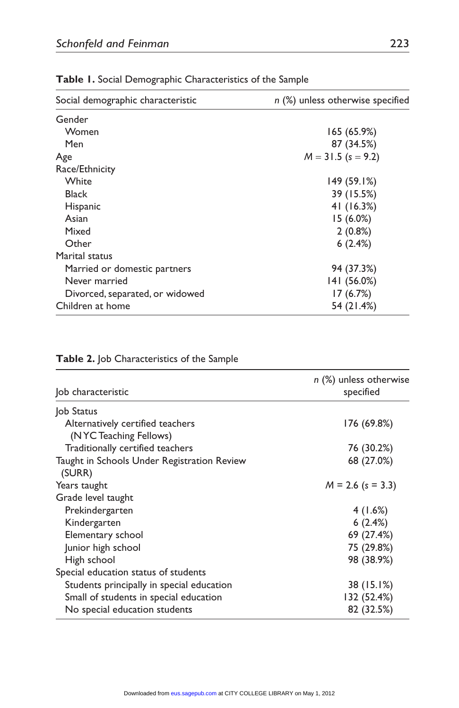| Social demographic characteristic | n (%) unless otherwise specified |
|-----------------------------------|----------------------------------|
| Gender                            |                                  |
| Women                             | 165(65.9%)                       |
| Men                               | 87 (34.5%)                       |
| Age                               | $M = 31.5$ (s = 9.2)             |
| Race/Ethnicity                    |                                  |
| White                             | 149 (59.1%)                      |
| <b>Black</b>                      | 39 (15.5%)                       |
| Hispanic                          | 41 (16.3%)                       |
| Asian                             | 15(6.0%)                         |
| Mixed                             | 2(0.8%)                          |
| Other                             | 6(2.4%)                          |
| Marital status                    |                                  |
| Married or domestic partners      | 94 (37.3%)                       |
| Never married                     | 141 (56.0%)                      |
| Divorced, separated, or widowed   | 17(6.7%)                         |
| Children at home                  | 54 (21.4%)                       |

**Table 1.** Social Demographic Characteristics of the Sample

#### **Table 2.** Job Characteristics of the Sample

| Job characteristic                          | n (%) unless otherwise<br>specified |
|---------------------------------------------|-------------------------------------|
| Job Status                                  |                                     |
| Alternatively certified teachers            | 176 (69.8%)                         |
| (NYC Teaching Fellows)                      |                                     |
| Traditionally certified teachers            | 76 (30.2%)                          |
| Taught in Schools Under Registration Review | 68 (27.0%)                          |
| (SURR)<br>Years taught                      | $M = 2.6$ (s = 3.3)                 |
| Grade level taught                          |                                     |
| Prekindergarten                             | 4(1.6%)                             |
| Kindergarten                                | 6(2.4%)                             |
| Elementary school                           | 69 (27.4%)                          |
| Junior high school                          | 75 (29.8%)                          |
| High school                                 | 98 (38.9%)                          |
| Special education status of students        |                                     |
| Students principally in special education   | 38 (15.1%)                          |
| Small of students in special education      | 132 (52.4%)                         |
| No special education students               | 82 (32.5%)                          |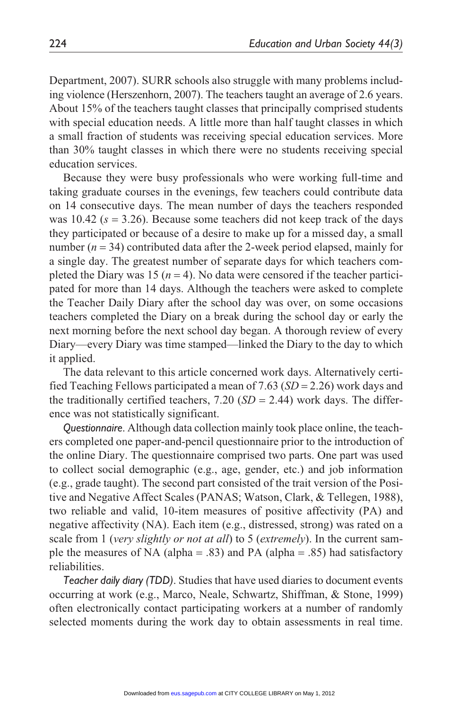Department, 2007). SURR schools also struggle with many problems including violence (Herszenhorn, 2007). The teachers taught an average of 2.6 years. About 15% of the teachers taught classes that principally comprised students with special education needs. A little more than half taught classes in which a small fraction of students was receiving special education services. More than 30% taught classes in which there were no students receiving special education services.

Because they were busy professionals who were working full-time and taking graduate courses in the evenings, few teachers could contribute data on 14 consecutive days. The mean number of days the teachers responded was  $10.42$  ( $s = 3.26$ ). Because some teachers did not keep track of the days they participated or because of a desire to make up for a missed day, a small number  $(n = 34)$  contributed data after the 2-week period elapsed, mainly for a single day. The greatest number of separate days for which teachers completed the Diary was 15 ( $n = 4$ ). No data were censored if the teacher participated for more than 14 days. Although the teachers were asked to complete the Teacher Daily Diary after the school day was over, on some occasions teachers completed the Diary on a break during the school day or early the next morning before the next school day began. A thorough review of every Diary—every Diary was time stamped—linked the Diary to the day to which it applied.

The data relevant to this article concerned work days. Alternatively certified Teaching Fellows participated a mean of 7.63 (*SD* = 2.26) work days and the traditionally certified teachers,  $7.20$  (*SD* = 2.44) work days. The difference was not statistically significant.

*Questionnaire*. Although data collection mainly took place online, the teachers completed one paper-and-pencil questionnaire prior to the introduction of the online Diary. The questionnaire comprised two parts. One part was used to collect social demographic (e.g., age, gender, etc.) and job information (e.g., grade taught). The second part consisted of the trait version of the Positive and Negative Affect Scales (PANAS; Watson, Clark, & Tellegen, 1988), two reliable and valid, 10-item measures of positive affectivity (PA) and negative affectivity (NA). Each item (e.g., distressed, strong) was rated on a scale from 1 (*very slightly or not at all*) to 5 (*extremely*). In the current sample the measures of NA (alpha = .83) and PA (alpha = .85) had satisfactory reliabilities.

*Teacher daily diary (TDD)*. Studies that have used diaries to document events occurring at work (e.g., Marco, Neale, Schwartz, Shiffman, & Stone, 1999) often electronically contact participating workers at a number of randomly selected moments during the work day to obtain assessments in real time.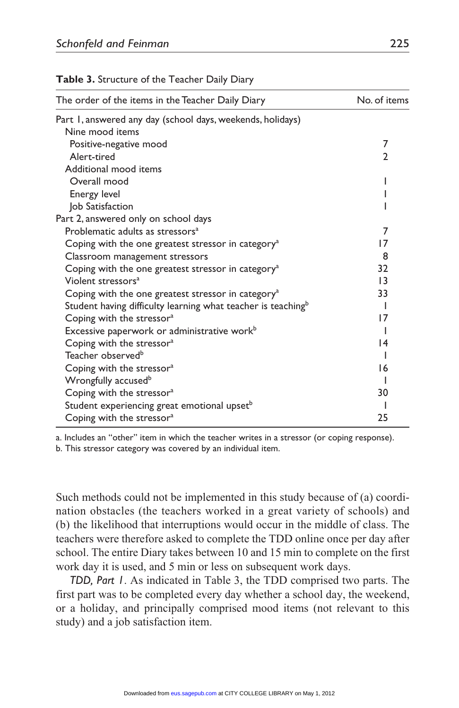| The order of the items in the Teacher Daily Diary                        | No. of items  |
|--------------------------------------------------------------------------|---------------|
| Part 1, answered any day (school days, weekends, holidays)               |               |
| Nine mood items                                                          |               |
| Positive-negative mood                                                   | 7             |
| Alert-tired                                                              | $\mathcal{P}$ |
| Additional mood items                                                    |               |
| Overall mood                                                             |               |
| Energy level                                                             |               |
| Job Satisfaction                                                         |               |
| Part 2, answered only on school days                                     |               |
| Problematic adults as stressors <sup>a</sup>                             | 7             |
| Coping with the one greatest stressor in category <sup>a</sup>           | 17            |
| Classroom management stressors                                           | 8             |
| Coping with the one greatest stressor in category <sup>a</sup>           | 32            |
| Violent stressors <sup>a</sup>                                           | 13            |
| Coping with the one greatest stressor in category <sup>a</sup>           | 33            |
| Student having difficulty learning what teacher is teaching <sup>b</sup> |               |
| Coping with the stressor <sup>a</sup>                                    | 17            |
| Excessive paperwork or administrative work <sup>b</sup>                  |               |
| Coping with the stressor <sup>a</sup>                                    | 14            |
| Teacher observed <sup>b</sup>                                            |               |
| Coping with the stressor <sup>a</sup>                                    | 16            |
| Wrongfully accused <sup>b</sup>                                          |               |
| Coping with the stressor <sup>a</sup>                                    | 30            |
| Student experiencing great emotional upset <sup>b</sup>                  |               |
| Coping with the stressor <sup>a</sup>                                    | 25            |

| Table 3. Structure of the Teacher Daily Diary |  |  |  |  |  |  |  |  |
|-----------------------------------------------|--|--|--|--|--|--|--|--|
|-----------------------------------------------|--|--|--|--|--|--|--|--|

a. Includes an "other" item in which the teacher writes in a stressor (or coping response). b. This stressor category was covered by an individual item.

Such methods could not be implemented in this study because of (a) coordination obstacles (the teachers worked in a great variety of schools) and (b) the likelihood that interruptions would occur in the middle of class. The teachers were therefore asked to complete the TDD online once per day after school. The entire Diary takes between 10 and 15 min to complete on the first work day it is used, and 5 min or less on subsequent work days.

*TDD, Part 1*. As indicated in Table 3, the TDD comprised two parts. The first part was to be completed every day whether a school day, the weekend, or a holiday, and principally comprised mood items (not relevant to this study) and a job satisfaction item.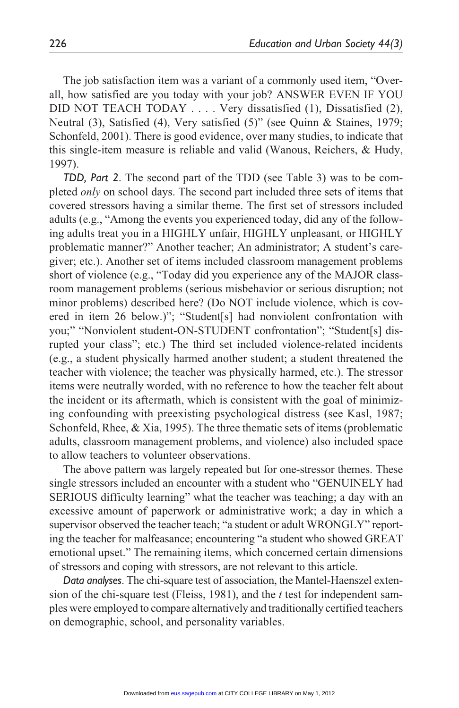The job satisfaction item was a variant of a commonly used item, "Overall, how satisfied are you today with your job? ANSWER EVEN IF YOU DID NOT TEACH TODAY . . . . Very dissatisfied (1), Dissatisfied (2), Neutral (3), Satisfied (4), Very satisfied (5)" (see Quinn & Staines, 1979; Schonfeld, 2001). There is good evidence, over many studies, to indicate that this single-item measure is reliable and valid (Wanous, Reichers, & Hudy, 1997).

*TDD, Part 2*. The second part of the TDD (see Table 3) was to be completed *only* on school days. The second part included three sets of items that covered stressors having a similar theme. The first set of stressors included adults (e.g., "Among the events you experienced today, did any of the following adults treat you in a HIGHLY unfair, HIGHLY unpleasant, or HIGHLY problematic manner?" Another teacher; An administrator; A student's caregiver; etc.). Another set of items included classroom management problems short of violence (e.g., "Today did you experience any of the MAJOR classroom management problems (serious misbehavior or serious disruption; not minor problems) described here? (Do NOT include violence, which is covered in item 26 below.)"; "Student[s] had nonviolent confrontation with you;" "Nonviolent student-ON-STUDENT confrontation"; "Student[s] disrupted your class"; etc.) The third set included violence-related incidents (e.g., a student physically harmed another student; a student threatened the teacher with violence; the teacher was physically harmed, etc.). The stressor items were neutrally worded, with no reference to how the teacher felt about the incident or its aftermath, which is consistent with the goal of minimizing confounding with preexisting psychological distress (see Kasl, 1987; Schonfeld, Rhee, & Xia, 1995). The three thematic sets of items (problematic adults, classroom management problems, and violence) also included space to allow teachers to volunteer observations.

The above pattern was largely repeated but for one-stressor themes. These single stressors included an encounter with a student who "GENUINELY had SERIOUS difficulty learning" what the teacher was teaching; a day with an excessive amount of paperwork or administrative work; a day in which a supervisor observed the teacher teach; "a student or adult WRONGLY" reporting the teacher for malfeasance; encountering "a student who showed GREAT emotional upset." The remaining items, which concerned certain dimensions of stressors and coping with stressors, are not relevant to this article.

*Data analyses*. The chi-square test of association, the Mantel-Haenszel extension of the chi-square test (Fleiss, 1981), and the *t* test for independent samples were employed to compare alternatively and traditionally certified teachers on demographic, school, and personality variables.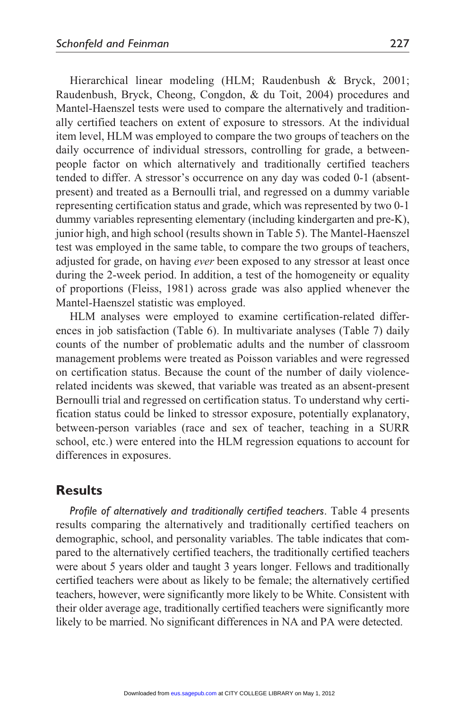Hierarchical linear modeling (HLM; Raudenbush & Bryck, 2001; Raudenbush, Bryck, Cheong, Congdon, & du Toit, 2004) procedures and Mantel-Haenszel tests were used to compare the alternatively and traditionally certified teachers on extent of exposure to stressors. At the individual item level, HLM was employed to compare the two groups of teachers on the daily occurrence of individual stressors, controlling for grade, a betweenpeople factor on which alternatively and traditionally certified teachers tended to differ. A stressor's occurrence on any day was coded 0-1 (absentpresent) and treated as a Bernoulli trial, and regressed on a dummy variable representing certification status and grade, which was represented by two 0-1 dummy variables representing elementary (including kindergarten and pre-K), junior high, and high school (results shown in Table 5). The Mantel-Haenszel test was employed in the same table, to compare the two groups of teachers, adjusted for grade, on having *ever* been exposed to any stressor at least once during the 2-week period. In addition, a test of the homogeneity or equality of proportions (Fleiss, 1981) across grade was also applied whenever the Mantel-Haenszel statistic was employed.

HLM analyses were employed to examine certification-related differences in job satisfaction (Table 6). In multivariate analyses (Table 7) daily counts of the number of problematic adults and the number of classroom management problems were treated as Poisson variables and were regressed on certification status. Because the count of the number of daily violencerelated incidents was skewed, that variable was treated as an absent-present Bernoulli trial and regressed on certification status. To understand why certification status could be linked to stressor exposure, potentially explanatory, between-person variables (race and sex of teacher, teaching in a SURR school, etc.) were entered into the HLM regression equations to account for differences in exposures.

## **Results**

*Profile of alternatively and traditionally certified teachers*. Table 4 presents results comparing the alternatively and traditionally certified teachers on demographic, school, and personality variables. The table indicates that compared to the alternatively certified teachers, the traditionally certified teachers were about 5 years older and taught 3 years longer. Fellows and traditionally certified teachers were about as likely to be female; the alternatively certified teachers, however, were significantly more likely to be White. Consistent with their older average age, traditionally certified teachers were significantly more likely to be married. No significant differences in NA and PA were detected.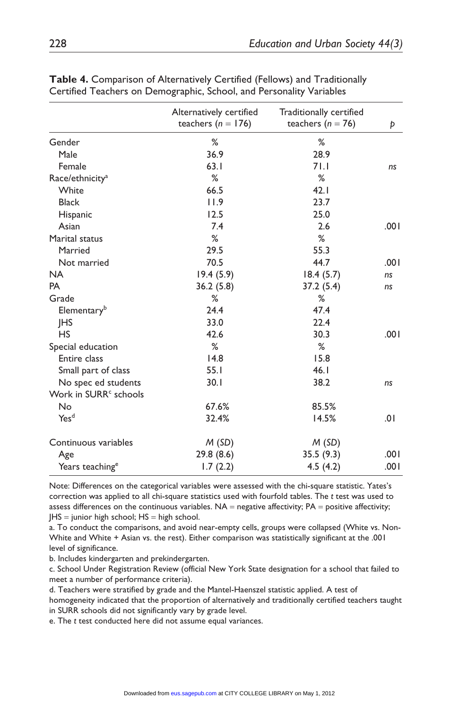|                                   | Alternatively certified<br>teachers ( $n = 176$ ) | Traditionally certified<br>teachers ( $n = 76$ ) | Þ    |
|-----------------------------------|---------------------------------------------------|--------------------------------------------------|------|
| Gender                            | %                                                 | %                                                |      |
| Male                              | 36.9                                              | 28.9                                             |      |
| Female                            | 63.1                                              | 71.1                                             | ns   |
| Race/ethnicity <sup>a</sup>       | %                                                 | %                                                |      |
| White                             | 66.5                                              | 42.1                                             |      |
| <b>Black</b>                      | 11.9                                              | 23.7                                             |      |
| Hispanic                          | 12.5                                              | 25.0                                             |      |
| Asian                             | 7.4                                               | 2.6                                              | .001 |
| Marital status                    | %                                                 | %                                                |      |
| Married                           | 29.5                                              | 55.3                                             |      |
| Not married                       | 70.5                                              | 44.7                                             | .001 |
| <b>NA</b>                         | 19.4(5.9)                                         | 18.4(5.7)                                        | ns   |
| PA                                | 36.2(5.8)                                         | 37.2(5.4)                                        | ns   |
| Grade                             | ℅                                                 | $\%$                                             |      |
| Elementary <sup>b</sup>           | 24.4                                              | 47.4                                             |      |
| <b>IHS</b>                        | 33.0                                              | 22.4                                             |      |
| <b>HS</b>                         | 42.6                                              | 30.3                                             | .001 |
| Special education                 | %                                                 | %                                                |      |
| Entire class                      | 14.8                                              | 15.8                                             |      |
| Small part of class               | 55.1                                              | 46.1                                             |      |
| No spec ed students               | 30.1                                              | 38.2                                             | ns   |
| Work in SURR <sup>c</sup> schools |                                                   |                                                  |      |
| No                                | 67.6%                                             | 85.5%                                            |      |
| Yes <sup>d</sup>                  | 32.4%                                             | 14.5%                                            | 0١.  |
| Continuous variables              | M(SD)                                             | M(SD)                                            |      |
| Age                               | 29.8 (8.6)                                        | 35.5(9.3)                                        | 100. |
| Years teaching <sup>e</sup>       | 1.7(2.2)                                          | 4.5(4.2)                                         | .001 |

**Table 4.** Comparison of Alternatively Certified (Fellows) and Traditionally Certified Teachers on Demographic, School, and Personality Variables

Note: Differences on the categorical variables were assessed with the chi-square statistic. Yates's correction was applied to all chi-square statistics used with fourfold tables. The *t* test was used to assess differences on the continuous variables.  $NA$  = negative affectivity;  $PA$  = positive affectivity;  $H =$  junior high school;  $HS =$  high school.

a. To conduct the comparisons, and avoid near-empty cells, groups were collapsed (White vs. Non-White and White + Asian vs. the rest). Either comparison was statistically significant at the .001 level of significance.

b. Includes kindergarten and prekindergarten.

c. School Under Registration Review (official New York State designation for a school that failed to meet a number of performance criteria).

d. Teachers were stratified by grade and the Mantel-Haenszel statistic applied. A test of homogeneity indicated that the proportion of alternatively and traditionally certified teachers taught in SURR schools did not significantly vary by grade level.

e. The *t* test conducted here did not assume equal variances.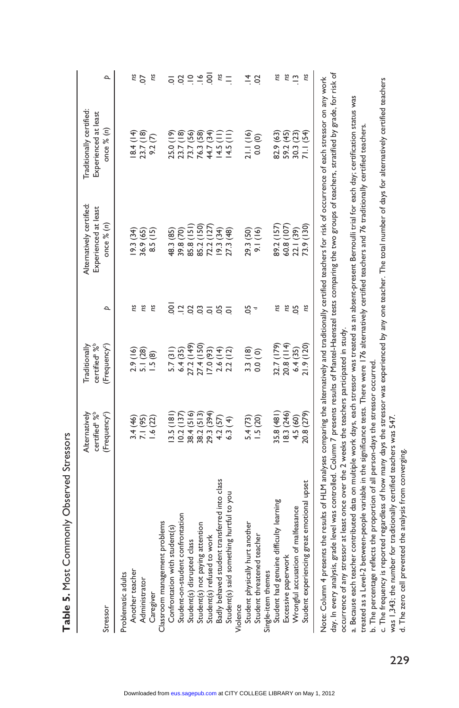| Stressor                                                                                                                                                                                                               | Alternatively<br>(Frequency <sup>c</sup> )<br>certified <sup>a</sup> % <sup>b</sup> | Traditionally<br>(Frequency <sup>c</sup> )<br>certified <sup>a</sup> % | Φ                   | Alternatively certified:<br>Experienced at least<br>once $% (n)$ | Traditionally certified:<br>Experienced at least<br>once $%$ $(n)$ | р                                           |
|------------------------------------------------------------------------------------------------------------------------------------------------------------------------------------------------------------------------|-------------------------------------------------------------------------------------|------------------------------------------------------------------------|---------------------|------------------------------------------------------------------|--------------------------------------------------------------------|---------------------------------------------|
| Another teacher<br>Problematic adults<br>Administrator<br>Caregiver                                                                                                                                                    | 34 (46)<br>7.1 (95)<br>1.6 (22)                                                     | $5.1(28)$<br>$1.5(8)$<br>2.9(16)                                       | ns<br>ns<br>ns      | 36.9 (65)<br>8.5(15)<br> 9.3(34)                                 | 18.4(14)<br>23.7 (18)<br>9.2(7)                                    | ns<br>$\overline{0}$<br>Σu                  |
| Student-on-student confrontation<br>Classroom management problems<br>Confrontation with student(s)                                                                                                                     | (137)<br>3.5(181)                                                                   | 5.7(31)                                                                | ē<br>$\overline{a}$ | 39.8 (70)<br>48.3 (85)                                           | 25.0 (19)<br>23.7 (18)                                             | ᇹ                                           |
| Student(s) not paying attention<br>Student(s) refused to work<br>Student(s) disrupted class                                                                                                                            | 38.4 (516)<br>38.2 (513)<br>29.3 (394)                                              | 27.4 (150)<br>$6.4(35)$<br>$27.2(149)$<br>(2.0(93))                    | 8858                | 85.8 (151)<br>85.2 (150)<br>72.2 (127)                           | 73.7 (56)<br>76.3 (58)<br>44.7 (34)                                | $\overline{0}$<br>$\beta \cong \frac{1}{2}$ |
| Badly behaved student transferred into class<br>Student(s) said something hurtful to you<br>Violence                                                                                                                   | 4.2 (57)<br>6.3(4)                                                                  | 2.6 (14)<br>2.2 (12)                                                   | $\overline{\circ}$  | 9.3(34)<br>27.3 (48)                                             | 14.5(11)<br>14.5(11)                                               | Σq                                          |
| Student physically hurt another<br>Student threatened teacher<br>Single-item themes                                                                                                                                    | 5.4(73)<br>1.5(20)                                                                  | 3.3(18)<br>0.0(0)                                                      | ¤ ∘                 | 9.1(16)<br>29.3 (50)                                             | 21.1(16)<br>0.0(0)                                                 | $\overline{4}$<br>S                         |
| Student had genuine difficulty learning<br>Wrongful accusation of malfeasance<br>Excessive paperwork                                                                                                                   | 8.3 (246)<br>35.8 (481)<br>4.5 (60)                                                 | 20.8 (114)<br>32.7 (179)<br>6.4(35)                                    | ns<br>ns<br>5o      | 60.8 (107)<br>89.2 (157<br>22.1 (39)                             | 82.9 (63)<br>59.2 (45)<br>30.3 (23)                                | Σu<br>Σu<br>$\frac{1}{2}$                   |
| Note: Column 4 presents the results of HIM analyses comparing the alternatively and traditionally certified teachers for risk of occurrence of each stressor on any work<br>Student experiencing great emotional upset | 20.8 (279)                                                                          | 21.9 (120)                                                             | ns                  | 73.9 (130)                                                       | 71.1(54)                                                           | ns                                          |

nooe. Counini + presents uie resuits of nurri alalyses companiig uie auctinatively and nadiuolially certured ior risk of occurrence of each stead by grade, for risk of<br>day. In every analysis, grade level was controlled. Co day. In every analysis, grade level was controlled. Column 7 presents results of Mantel-Haenszel tests comparing the two groups of teachers, stratified by grade, for risk of Note: Column 4 presents the results of HLM analyses comparing the alternatively and traditionally certified teachers for risk of occurrence of each stressor on any work occurrence of any stressor at least once over the 2 weeks the teachers participated in study. occurrence of any stressor at least once over the 2 weeks the teachers participated in study.

a. Because each teacher contributed data on multiple work days, each stressor was treated as an absent-present Bernoulli trial for each day; certification status was a. Because each teacher contributed data on multiple work days, each stressor was treated as an absent-present Bernoulli trial for each day; certification status was rreated as a Level-2 between-people variable in the significance tests. There were 176 alternatively certified teachers and 76 traditionally certified teachers. treated as a Level-2 between-people variable in the significance tests. There were 176 alternatively certified teachers and 76 traditionally certified teachers.

b. The percentage reflects the proportion of all person-days the stressor occurred. b. The percentage reflects the proportion of all person-days the stressor occurred.

c. The frequency is reported regardless of how many days the stressor was experienced by any one teacher. The total number of days for alternatively certified teachers c. The frequency is reported regardless of how many days the stressor was experienced by any one teacher. The total number of days for alternatively certified teachers was 1,343; the number for traditionally certified teachers was 547. was 1,343; the number for traditionally certified teachers was 547.

d. The zero cell prevented the analysis from converging.

229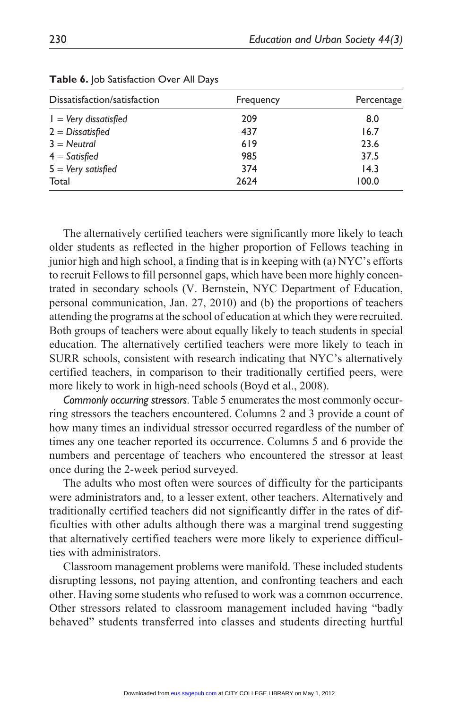| Dissatisfaction/satisfaction | Frequency | Percentage |
|------------------------------|-----------|------------|
| $I = Very$ dissatisfied      | 209       | 8.0        |
| $2$ = Dissatisfied           | 437       | 16.7       |
| $3 = Neutral$                | 619       | 23.6       |
| $4 = Satisfied$              | 985       | 37.5       |
| $5 =$ Very satisfied         | 374       | 14.3       |
| Total                        | 2624      | 100.0      |

**Table 6.** Job Satisfaction Over All Days

The alternatively certified teachers were significantly more likely to teach older students as reflected in the higher proportion of Fellows teaching in junior high and high school, a finding that is in keeping with (a) NYC's efforts to recruit Fellows to fill personnel gaps, which have been more highly concentrated in secondary schools (V. Bernstein, NYC Department of Education, personal communication, Jan. 27, 2010) and (b) the proportions of teachers attending the programs at the school of education at which they were recruited. Both groups of teachers were about equally likely to teach students in special education. The alternatively certified teachers were more likely to teach in SURR schools, consistent with research indicating that NYC's alternatively certified teachers, in comparison to their traditionally certified peers, were more likely to work in high-need schools (Boyd et al., 2008).

*Commonly occurring stressors*. Table 5 enumerates the most commonly occurring stressors the teachers encountered. Columns 2 and 3 provide a count of how many times an individual stressor occurred regardless of the number of times any one teacher reported its occurrence. Columns 5 and 6 provide the numbers and percentage of teachers who encountered the stressor at least once during the 2-week period surveyed.

The adults who most often were sources of difficulty for the participants were administrators and, to a lesser extent, other teachers. Alternatively and traditionally certified teachers did not significantly differ in the rates of difficulties with other adults although there was a marginal trend suggesting that alternatively certified teachers were more likely to experience difficulties with administrators.

Classroom management problems were manifold. These included students disrupting lessons, not paying attention, and confronting teachers and each other. Having some students who refused to work was a common occurrence. Other stressors related to classroom management included having "badly behaved" students transferred into classes and students directing hurtful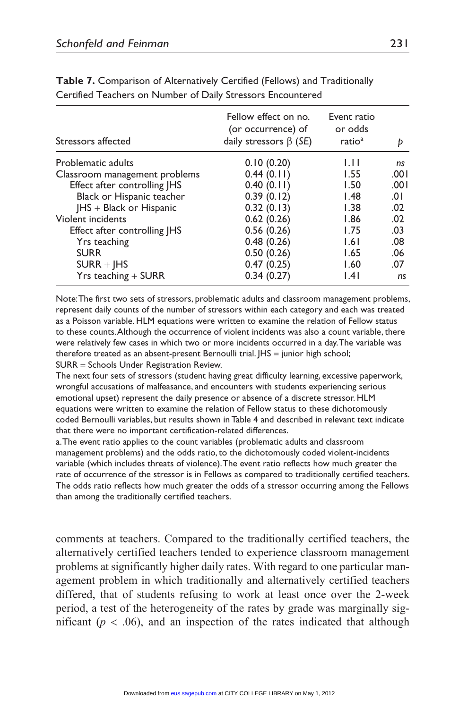| Stressors affected            | Fellow effect on no.<br>(or occurrence) of<br>daily stressors $\beta$ (SE) | Event ratio<br>or odds<br>ratio <sup>a</sup> | Þ    |
|-------------------------------|----------------------------------------------------------------------------|----------------------------------------------|------|
| Problematic adults            | 0.10(0.20)                                                                 | 1.11                                         | ns   |
| Classroom management problems | 0.44(0.11)                                                                 | 1.55                                         | .001 |
| Effect after controlling JHS  | 0.40(0.11)                                                                 | 1.50                                         | .001 |
| Black or Hispanic teacher     | 0.39(0.12)                                                                 | 1.48                                         | 0۱.  |
| $ HS + Black$ or Hispanic     | 0.32(0.13)                                                                 | 1.38                                         | .02  |
| Violent incidents             | 0.62(0.26)                                                                 | 1.86                                         | .02  |
| Effect after controlling JHS  | 0.56(0.26)                                                                 | 1.75                                         | .03  |
| Yrs teaching                  | 0.48(0.26)                                                                 | 1.61                                         | .08  |
| <b>SURR</b>                   | 0.50(0.26)                                                                 | 1.65                                         | .06  |
| $SURR +  HS$                  | 0.47(0.25)                                                                 | 1.60                                         | .07  |
| Yrs teaching + SURR           | 0.34(0.27)                                                                 | 1.41                                         | ns   |

| Table 7. Comparison of Alternatively Certified (Fellows) and Traditionally |
|----------------------------------------------------------------------------|
| Certified Teachers on Number of Daily Stressors Encountered                |

Note: The first two sets of stressors, problematic adults and classroom management problems, represent daily counts of the number of stressors within each category and each was treated as a Poisson variable. HLM equations were written to examine the relation of Fellow status to these counts. Although the occurrence of violent incidents was also a count variable, there were relatively few cases in which two or more incidents occurred in a day. The variable was therefore treated as an absent-present Bernoulli trial. JHS = junior high school; SURR = Schools Under Registration Review.

The next four sets of stressors (student having great difficulty learning, excessive paperwork, wrongful accusations of malfeasance, and encounters with students experiencing serious emotional upset) represent the daily presence or absence of a discrete stressor. HLM equations were written to examine the relation of Fellow status to these dichotomously coded Bernoulli variables, but results shown in Table 4 and described in relevant text indicate that there were no important certification-related differences.

a. The event ratio applies to the count variables (problematic adults and classroom management problems) and the odds ratio, to the dichotomously coded violent-incidents variable (which includes threats of violence). The event ratio reflects how much greater the rate of occurrence of the stressor is in Fellows as compared to traditionally certified teachers. The odds ratio reflects how much greater the odds of a stressor occurring among the Fellows than among the traditionally certified teachers.

comments at teachers. Compared to the traditionally certified teachers, the alternatively certified teachers tended to experience classroom management problems at significantly higher daily rates. With regard to one particular management problem in which traditionally and alternatively certified teachers differed, that of students refusing to work at least once over the 2-week period, a test of the heterogeneity of the rates by grade was marginally significant  $(p < .06)$ , and an inspection of the rates indicated that although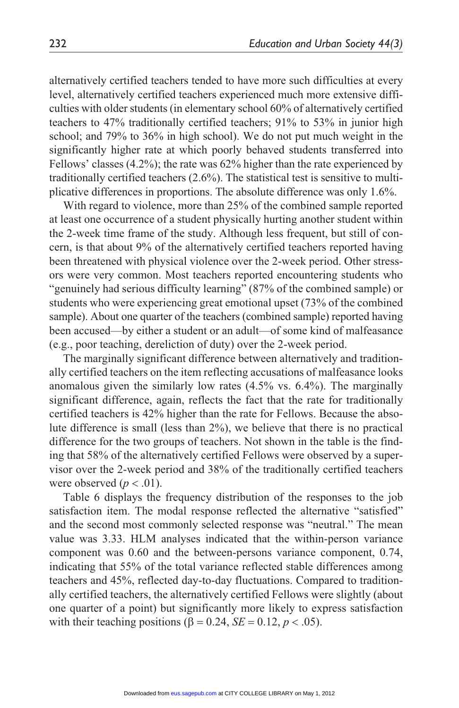alternatively certified teachers tended to have more such difficulties at every level, alternatively certified teachers experienced much more extensive difficulties with older students (in elementary school 60% of alternatively certified teachers to 47% traditionally certified teachers; 91% to 53% in junior high school; and 79% to 36% in high school). We do not put much weight in the significantly higher rate at which poorly behaved students transferred into Fellows' classes (4.2%); the rate was 62% higher than the rate experienced by traditionally certified teachers (2.6%). The statistical test is sensitive to multiplicative differences in proportions. The absolute difference was only 1.6%.

With regard to violence, more than 25% of the combined sample reported at least one occurrence of a student physically hurting another student within the 2-week time frame of the study. Although less frequent, but still of concern, is that about 9% of the alternatively certified teachers reported having been threatened with physical violence over the 2-week period. Other stressors were very common. Most teachers reported encountering students who "genuinely had serious difficulty learning" (87% of the combined sample) or students who were experiencing great emotional upset (73% of the combined sample). About one quarter of the teachers (combined sample) reported having been accused—by either a student or an adult—of some kind of malfeasance (e.g., poor teaching, dereliction of duty) over the 2-week period.

The marginally significant difference between alternatively and traditionally certified teachers on the item reflecting accusations of malfeasance looks anomalous given the similarly low rates (4.5% vs. 6.4%). The marginally significant difference, again, reflects the fact that the rate for traditionally certified teachers is 42% higher than the rate for Fellows. Because the absolute difference is small (less than 2%), we believe that there is no practical difference for the two groups of teachers. Not shown in the table is the finding that 58% of the alternatively certified Fellows were observed by a supervisor over the 2-week period and 38% of the traditionally certified teachers were observed  $(p < .01)$ .

Table 6 displays the frequency distribution of the responses to the job satisfaction item. The modal response reflected the alternative "satisfied" and the second most commonly selected response was "neutral." The mean value was 3.33. HLM analyses indicated that the within-person variance component was 0.60 and the between-persons variance component, 0.74, indicating that 55% of the total variance reflected stable differences among teachers and 45%, reflected day-to-day fluctuations. Compared to traditionally certified teachers, the alternatively certified Fellows were slightly (about one quarter of a point) but significantly more likely to express satisfaction with their teaching positions ( $\beta = 0.24$ ,  $SE = 0.12$ ,  $p < .05$ ).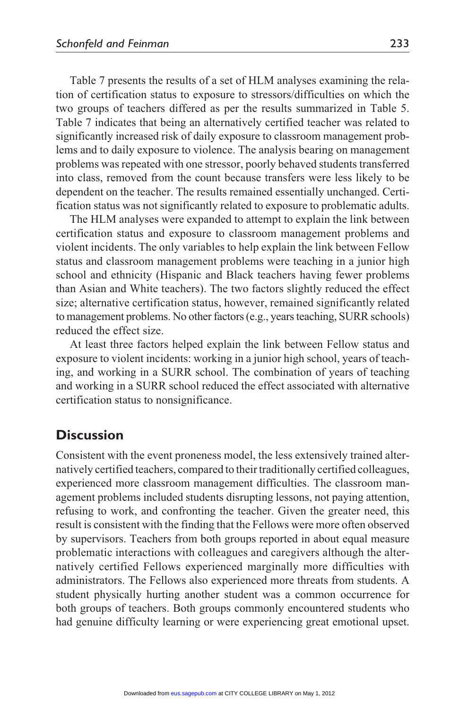Table 7 presents the results of a set of HLM analyses examining the relation of certification status to exposure to stressors/difficulties on which the two groups of teachers differed as per the results summarized in Table 5. Table 7 indicates that being an alternatively certified teacher was related to significantly increased risk of daily exposure to classroom management problems and to daily exposure to violence. The analysis bearing on management problems was repeated with one stressor, poorly behaved students transferred into class, removed from the count because transfers were less likely to be dependent on the teacher. The results remained essentially unchanged. Certification status was not significantly related to exposure to problematic adults.

The HLM analyses were expanded to attempt to explain the link between certification status and exposure to classroom management problems and violent incidents. The only variables to help explain the link between Fellow status and classroom management problems were teaching in a junior high school and ethnicity (Hispanic and Black teachers having fewer problems than Asian and White teachers). The two factors slightly reduced the effect size; alternative certification status, however, remained significantly related to management problems. No other factors (e.g., years teaching, SURR schools) reduced the effect size.

At least three factors helped explain the link between Fellow status and exposure to violent incidents: working in a junior high school, years of teaching, and working in a SURR school. The combination of years of teaching and working in a SURR school reduced the effect associated with alternative certification status to nonsignificance.

## **Discussion**

Consistent with the event proneness model, the less extensively trained alternatively certified teachers, compared to their traditionally certified colleagues, experienced more classroom management difficulties. The classroom management problems included students disrupting lessons, not paying attention, refusing to work, and confronting the teacher. Given the greater need, this result is consistent with the finding that the Fellows were more often observed by supervisors. Teachers from both groups reported in about equal measure problematic interactions with colleagues and caregivers although the alternatively certified Fellows experienced marginally more difficulties with administrators. The Fellows also experienced more threats from students. A student physically hurting another student was a common occurrence for both groups of teachers. Both groups commonly encountered students who had genuine difficulty learning or were experiencing great emotional upset.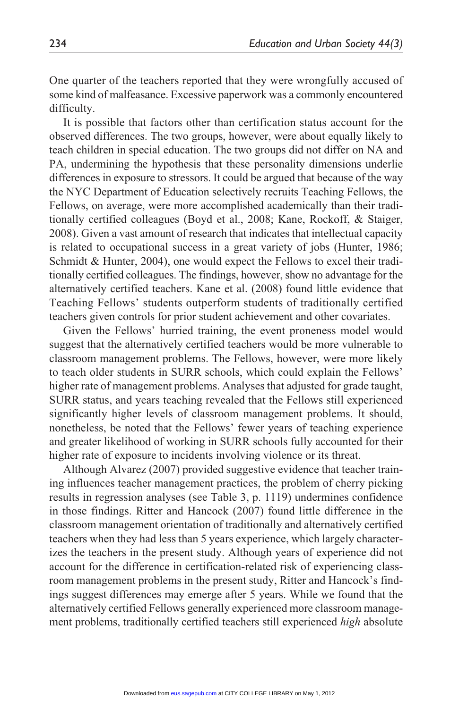One quarter of the teachers reported that they were wrongfully accused of some kind of malfeasance. Excessive paperwork was a commonly encountered difficulty.

It is possible that factors other than certification status account for the observed differences. The two groups, however, were about equally likely to teach children in special education. The two groups did not differ on NA and PA, undermining the hypothesis that these personality dimensions underlie differences in exposure to stressors. It could be argued that because of the way the NYC Department of Education selectively recruits Teaching Fellows, the Fellows, on average, were more accomplished academically than their traditionally certified colleagues (Boyd et al., 2008; Kane, Rockoff, & Staiger, 2008). Given a vast amount of research that indicates that intellectual capacity is related to occupational success in a great variety of jobs (Hunter, 1986; Schmidt & Hunter, 2004), one would expect the Fellows to excel their traditionally certified colleagues. The findings, however, show no advantage for the alternatively certified teachers. Kane et al. (2008) found little evidence that Teaching Fellows' students outperform students of traditionally certified teachers given controls for prior student achievement and other covariates.

Given the Fellows' hurried training, the event proneness model would suggest that the alternatively certified teachers would be more vulnerable to classroom management problems. The Fellows, however, were more likely to teach older students in SURR schools, which could explain the Fellows' higher rate of management problems. Analyses that adjusted for grade taught, SURR status, and years teaching revealed that the Fellows still experienced significantly higher levels of classroom management problems. It should, nonetheless, be noted that the Fellows' fewer years of teaching experience and greater likelihood of working in SURR schools fully accounted for their higher rate of exposure to incidents involving violence or its threat.

Although Alvarez (2007) provided suggestive evidence that teacher training influences teacher management practices, the problem of cherry picking results in regression analyses (see Table 3, p. 1119) undermines confidence in those findings. Ritter and Hancock (2007) found little difference in the classroom management orientation of traditionally and alternatively certified teachers when they had less than 5 years experience, which largely characterizes the teachers in the present study. Although years of experience did not account for the difference in certification-related risk of experiencing classroom management problems in the present study, Ritter and Hancock's findings suggest differences may emerge after 5 years. While we found that the alternatively certified Fellows generally experienced more classroom management problems, traditionally certified teachers still experienced *high* absolute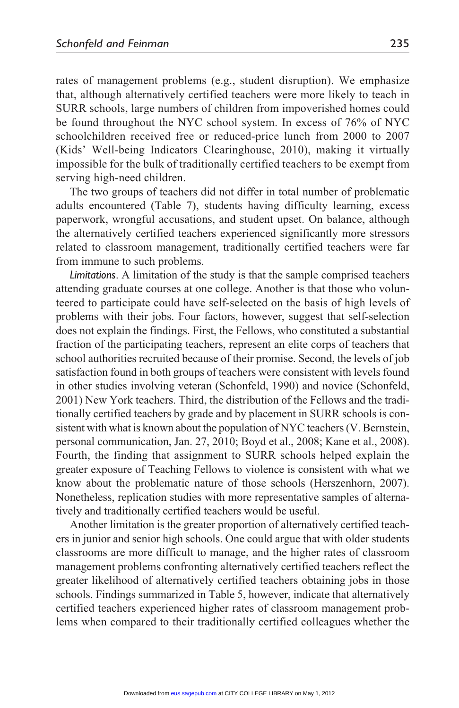rates of management problems (e.g., student disruption). We emphasize that, although alternatively certified teachers were more likely to teach in SURR schools, large numbers of children from impoverished homes could be found throughout the NYC school system. In excess of 76% of NYC schoolchildren received free or reduced-price lunch from 2000 to 2007 (Kids' Well-being Indicators Clearinghouse, 2010), making it virtually impossible for the bulk of traditionally certified teachers to be exempt from serving high-need children.

The two groups of teachers did not differ in total number of problematic adults encountered (Table 7), students having difficulty learning, excess paperwork, wrongful accusations, and student upset. On balance, although the alternatively certified teachers experienced significantly more stressors related to classroom management, traditionally certified teachers were far from immune to such problems.

*Limitations*. A limitation of the study is that the sample comprised teachers attending graduate courses at one college. Another is that those who volunteered to participate could have self-selected on the basis of high levels of problems with their jobs. Four factors, however, suggest that self-selection does not explain the findings. First, the Fellows, who constituted a substantial fraction of the participating teachers, represent an elite corps of teachers that school authorities recruited because of their promise. Second, the levels of job satisfaction found in both groups of teachers were consistent with levels found in other studies involving veteran (Schonfeld, 1990) and novice (Schonfeld, 2001) New York teachers. Third, the distribution of the Fellows and the traditionally certified teachers by grade and by placement in SURR schools is consistent with what is known about the population of NYC teachers (V. Bernstein, personal communication, Jan. 27, 2010; Boyd et al., 2008; Kane et al., 2008). Fourth, the finding that assignment to SURR schools helped explain the greater exposure of Teaching Fellows to violence is consistent with what we know about the problematic nature of those schools (Herszenhorn, 2007). Nonetheless, replication studies with more representative samples of alternatively and traditionally certified teachers would be useful.

Another limitation is the greater proportion of alternatively certified teachers in junior and senior high schools. One could argue that with older students classrooms are more difficult to manage, and the higher rates of classroom management problems confronting alternatively certified teachers reflect the greater likelihood of alternatively certified teachers obtaining jobs in those schools. Findings summarized in Table 5, however, indicate that alternatively certified teachers experienced higher rates of classroom management problems when compared to their traditionally certified colleagues whether the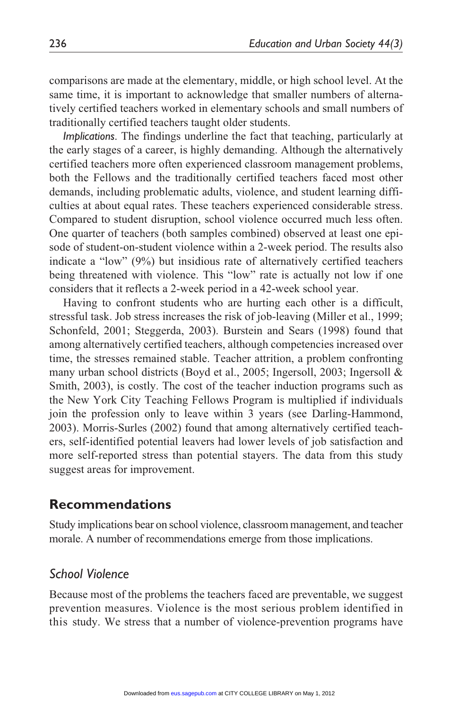comparisons are made at the elementary, middle, or high school level. At the same time, it is important to acknowledge that smaller numbers of alternatively certified teachers worked in elementary schools and small numbers of traditionally certified teachers taught older students.

*Implications*. The findings underline the fact that teaching, particularly at the early stages of a career, is highly demanding. Although the alternatively certified teachers more often experienced classroom management problems, both the Fellows and the traditionally certified teachers faced most other demands, including problematic adults, violence, and student learning difficulties at about equal rates. These teachers experienced considerable stress. Compared to student disruption, school violence occurred much less often. One quarter of teachers (both samples combined) observed at least one episode of student-on-student violence within a 2-week period. The results also indicate a "low" (9%) but insidious rate of alternatively certified teachers being threatened with violence. This "low" rate is actually not low if one considers that it reflects a 2-week period in a 42-week school year.

Having to confront students who are hurting each other is a difficult, stressful task. Job stress increases the risk of job-leaving (Miller et al., 1999; Schonfeld, 2001; Steggerda, 2003). Burstein and Sears (1998) found that among alternatively certified teachers, although competencies increased over time, the stresses remained stable. Teacher attrition, a problem confronting many urban school districts (Boyd et al., 2005; Ingersoll, 2003; Ingersoll & Smith, 2003), is costly. The cost of the teacher induction programs such as the New York City Teaching Fellows Program is multiplied if individuals join the profession only to leave within 3 years (see Darling-Hammond, 2003). Morris-Surles (2002) found that among alternatively certified teachers, self-identified potential leavers had lower levels of job satisfaction and more self-reported stress than potential stayers. The data from this study suggest areas for improvement.

## **Recommendations**

Study implications bear on school violence, classroom management, and teacher morale. A number of recommendations emerge from those implications.

## *School Violence*

Because most of the problems the teachers faced are preventable, we suggest prevention measures. Violence is the most serious problem identified in this study. We stress that a number of violence-prevention programs have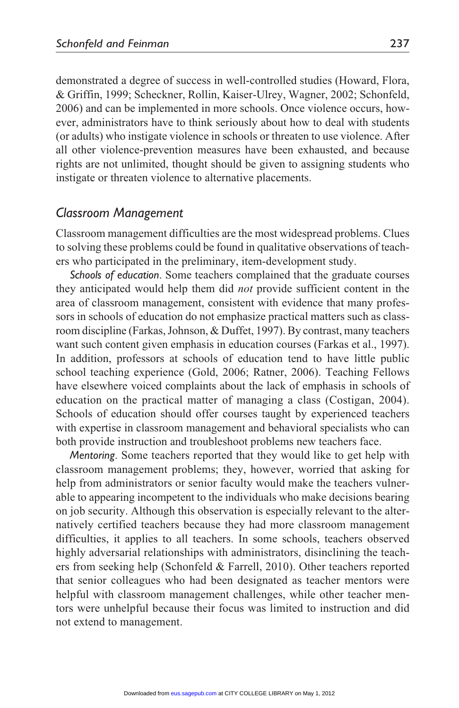demonstrated a degree of success in well-controlled studies (Howard, Flora, & Griffin, 1999; Scheckner, Rollin, Kaiser-Ulrey, Wagner, 2002; Schonfeld, 2006) and can be implemented in more schools. Once violence occurs, however, administrators have to think seriously about how to deal with students (or adults) who instigate violence in schools or threaten to use violence. After all other violence-prevention measures have been exhausted, and because rights are not unlimited, thought should be given to assigning students who instigate or threaten violence to alternative placements.

#### *Classroom Management*

Classroom management difficulties are the most widespread problems. Clues to solving these problems could be found in qualitative observations of teachers who participated in the preliminary, item-development study.

*Schools of education*. Some teachers complained that the graduate courses they anticipated would help them did *not* provide sufficient content in the area of classroom management, consistent with evidence that many professors in schools of education do not emphasize practical matters such as classroom discipline (Farkas, Johnson, & Duffet, 1997). By contrast, many teachers want such content given emphasis in education courses (Farkas et al., 1997). In addition, professors at schools of education tend to have little public school teaching experience (Gold, 2006; Ratner, 2006). Teaching Fellows have elsewhere voiced complaints about the lack of emphasis in schools of education on the practical matter of managing a class (Costigan, 2004). Schools of education should offer courses taught by experienced teachers with expertise in classroom management and behavioral specialists who can both provide instruction and troubleshoot problems new teachers face.

*Mentoring*. Some teachers reported that they would like to get help with classroom management problems; they, however, worried that asking for help from administrators or senior faculty would make the teachers vulnerable to appearing incompetent to the individuals who make decisions bearing on job security. Although this observation is especially relevant to the alternatively certified teachers because they had more classroom management difficulties, it applies to all teachers. In some schools, teachers observed highly adversarial relationships with administrators, disinclining the teachers from seeking help (Schonfeld & Farrell, 2010). Other teachers reported that senior colleagues who had been designated as teacher mentors were helpful with classroom management challenges, while other teacher mentors were unhelpful because their focus was limited to instruction and did not extend to management.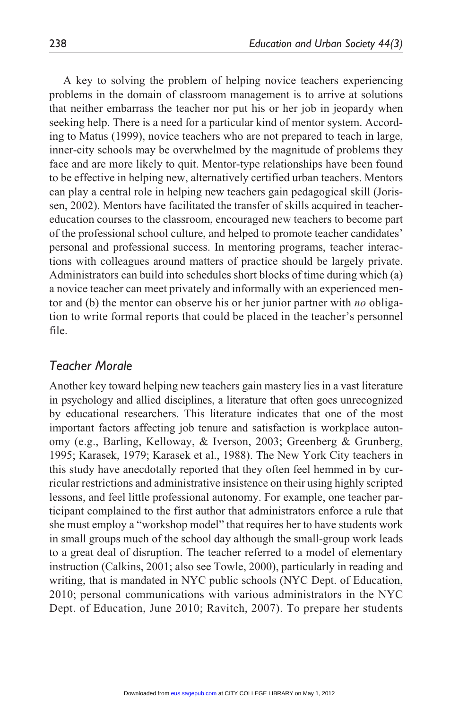A key to solving the problem of helping novice teachers experiencing problems in the domain of classroom management is to arrive at solutions that neither embarrass the teacher nor put his or her job in jeopardy when seeking help. There is a need for a particular kind of mentor system. According to Matus (1999), novice teachers who are not prepared to teach in large, inner-city schools may be overwhelmed by the magnitude of problems they face and are more likely to quit. Mentor-type relationships have been found to be effective in helping new, alternatively certified urban teachers. Mentors can play a central role in helping new teachers gain pedagogical skill (Jorissen, 2002). Mentors have facilitated the transfer of skills acquired in teachereducation courses to the classroom, encouraged new teachers to become part of the professional school culture, and helped to promote teacher candidates' personal and professional success. In mentoring programs, teacher interactions with colleagues around matters of practice should be largely private. Administrators can build into schedules short blocks of time during which (a) a novice teacher can meet privately and informally with an experienced mentor and (b) the mentor can observe his or her junior partner with *no* obligation to write formal reports that could be placed in the teacher's personnel file.

#### *Teacher Morale*

Another key toward helping new teachers gain mastery lies in a vast literature in psychology and allied disciplines, a literature that often goes unrecognized by educational researchers. This literature indicates that one of the most important factors affecting job tenure and satisfaction is workplace autonomy (e.g., Barling, Kelloway, & Iverson, 2003; Greenberg & Grunberg, 1995; Karasek, 1979; Karasek et al., 1988). The New York City teachers in this study have anecdotally reported that they often feel hemmed in by curricular restrictions and administrative insistence on their using highly scripted lessons, and feel little professional autonomy. For example, one teacher participant complained to the first author that administrators enforce a rule that she must employ a "workshop model" that requires her to have students work in small groups much of the school day although the small-group work leads to a great deal of disruption. The teacher referred to a model of elementary instruction (Calkins, 2001; also see Towle, 2000), particularly in reading and writing, that is mandated in NYC public schools (NYC Dept. of Education, 2010; personal communications with various administrators in the NYC Dept. of Education, June 2010; Ravitch, 2007). To prepare her students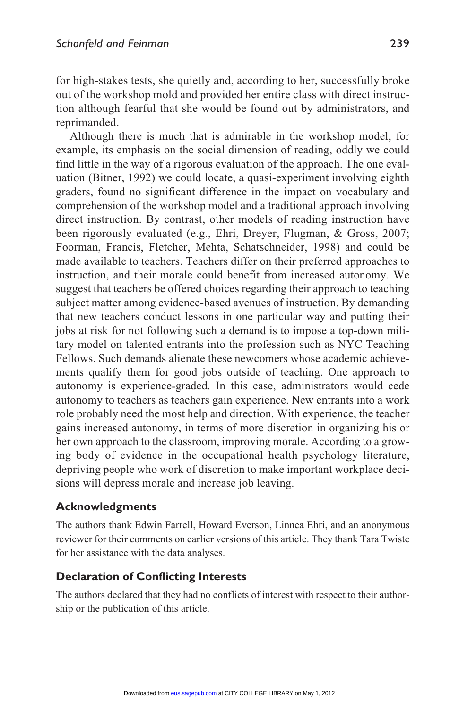for high-stakes tests, she quietly and, according to her, successfully broke out of the workshop mold and provided her entire class with direct instruction although fearful that she would be found out by administrators, and reprimanded.

Although there is much that is admirable in the workshop model, for example, its emphasis on the social dimension of reading, oddly we could find little in the way of a rigorous evaluation of the approach. The one evaluation (Bitner, 1992) we could locate, a quasi-experiment involving eighth graders, found no significant difference in the impact on vocabulary and comprehension of the workshop model and a traditional approach involving direct instruction. By contrast, other models of reading instruction have been rigorously evaluated (e.g., Ehri, Dreyer, Flugman, & Gross, 2007; Foorman, Francis, Fletcher, Mehta, Schatschneider, 1998) and could be made available to teachers. Teachers differ on their preferred approaches to instruction, and their morale could benefit from increased autonomy. We suggest that teachers be offered choices regarding their approach to teaching subject matter among evidence-based avenues of instruction. By demanding that new teachers conduct lessons in one particular way and putting their jobs at risk for not following such a demand is to impose a top-down military model on talented entrants into the profession such as NYC Teaching Fellows. Such demands alienate these newcomers whose academic achievements qualify them for good jobs outside of teaching. One approach to autonomy is experience-graded. In this case, administrators would cede autonomy to teachers as teachers gain experience. New entrants into a work role probably need the most help and direction. With experience, the teacher gains increased autonomy, in terms of more discretion in organizing his or her own approach to the classroom, improving morale. According to a growing body of evidence in the occupational health psychology literature, depriving people who work of discretion to make important workplace decisions will depress morale and increase job leaving.

#### **Acknowledgments**

The authors thank Edwin Farrell, Howard Everson, Linnea Ehri, and an anonymous reviewer for their comments on earlier versions of this article. They thank Tara Twiste for her assistance with the data analyses.

#### **Declaration of Conflicting Interests**

The authors declared that they had no conflicts of interest with respect to their authorship or the publication of this article.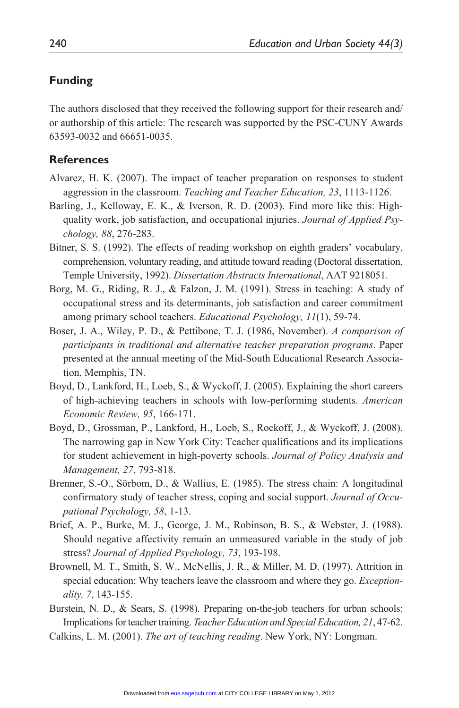#### **Funding**

The authors disclosed that they received the following support for their research and/ or authorship of this article: The research was supported by the PSC-CUNY Awards 63593-0032 and 66651-0035.

#### **References**

- Alvarez, H. K. (2007). The impact of teacher preparation on responses to student aggression in the classroom. *Teaching and Teacher Education, 23*, 1113-1126.
- Barling, J., Kelloway, E. K., & Iverson, R. D. (2003). Find more like this: Highquality work, job satisfaction, and occupational injuries. *Journal of Applied Psychology, 88*, 276-283.
- Bitner, S. S. (1992). The effects of reading workshop on eighth graders' vocabulary, comprehension, voluntary reading, and attitude toward reading (Doctoral dissertation, Temple University, 1992). *Dissertation Abstracts International*, AAT 9218051.
- Borg, M. G., Riding, R. J., & Falzon, J. M. (1991). Stress in teaching: A study of occupational stress and its determinants, job satisfaction and career commitment among primary school teachers. *Educational Psychology, 11*(1), 59-74.
- Boser, J. A., Wiley, P. D., & Pettibone, T. J. (1986, November). *A comparison of participants in traditional and alternative teacher preparation programs*. Paper presented at the annual meeting of the Mid-South Educational Research Association, Memphis, TN.
- Boyd, D., Lankford, H., Loeb, S., & Wyckoff, J. (2005). Explaining the short careers of high-achieving teachers in schools with low-performing students. *American Economic Review, 95*, 166-171.
- Boyd, D., Grossman, P., Lankford, H., Loeb, S., Rockoff, J., & Wyckoff, J. (2008). The narrowing gap in New York City: Teacher qualifications and its implications for student achievement in high-poverty schools. *Journal of Policy Analysis and Management, 27*, 793-818.
- Brenner, S.-O., Sörbom, D., & Wallius, E. (1985). The stress chain: A longitudinal confirmatory study of teacher stress, coping and social support. *Journal of Occupational Psychology, 58*, 1-13.
- Brief, A. P., Burke, M. J., George, J. M., Robinson, B. S., & Webster, J. (1988). Should negative affectivity remain an unmeasured variable in the study of job stress? *Journal of Applied Psychology, 73*, 193-198.
- Brownell, M. T., Smith, S. W., McNellis, J. R., & Miller, M. D. (1997). Attrition in special education: Why teachers leave the classroom and where they go. *Exceptionality, 7*, 143-155.
- Burstein, N. D., & Sears, S. (1998). Preparing on-the-job teachers for urban schools: Implications for teacher training. *Teacher Education and Special Education, 21*, 47-62.
- Calkins, L. M. (2001). *The art of teaching reading*. New York, NY: Longman.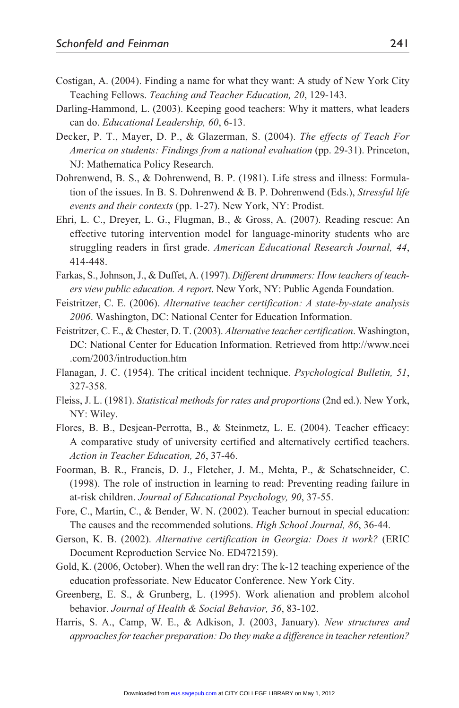- Costigan, A. (2004). Finding a name for what they want: A study of New York City Teaching Fellows. *Teaching and Teacher Education, 20*, 129-143.
- Darling-Hammond, L. (2003). Keeping good teachers: Why it matters, what leaders can do. *Educational Leadership, 60*, 6-13.
- Decker, P. T., Mayer, D. P., & Glazerman, S. (2004). *The effects of Teach For America on students: Findings from a national evaluation* (pp. 29-31). Princeton, NJ: Mathematica Policy Research.
- Dohrenwend, B. S., & Dohrenwend, B. P. (1981). Life stress and illness: Formulation of the issues. In B. S. Dohrenwend & B. P. Dohrenwend (Eds.), *Stressful life events and their contexts* (pp. 1-27). New York, NY: Prodist.
- Ehri, L. C., Dreyer, L. G., Flugman, B., & Gross, A. (2007). Reading rescue: An effective tutoring intervention model for language-minority students who are struggling readers in first grade. *American Educational Research Journal, 44*, 414-448.
- Farkas, S., Johnson, J., & Duffet, A. (1997). *Different drummers: How teachers of teachers view public education. A report*. New York, NY: Public Agenda Foundation.
- Feistritzer, C. E. (2006). *Alternative teacher certification: A state-by-state analysis 2006*. Washington, DC: National Center for Education Information.
- Feistritzer, C. E., & Chester, D. T. (2003). *Alternative teacher certification*. Washington, DC: National Center for Education Information. Retrieved from http://www.ncei .com/2003/introduction.htm
- Flanagan, J. C. (1954). The critical incident technique. *Psychological Bulletin, 51*, 327-358.
- Fleiss, J. L. (1981). *Statistical methods for rates and proportions* (2nd ed.). New York, NY: Wiley.
- Flores, B. B., Desjean-Perrotta, B., & Steinmetz, L. E. (2004). Teacher efficacy: A comparative study of university certified and alternatively certified teachers. *Action in Teacher Education, 26*, 37-46.
- Foorman, B. R., Francis, D. J., Fletcher, J. M., Mehta, P., & Schatschneider, C. (1998). The role of instruction in learning to read: Preventing reading failure in at-risk children. *Journal of Educational Psychology, 90*, 37-55.
- Fore, C., Martin, C., & Bender, W. N. (2002). Teacher burnout in special education: The causes and the recommended solutions. *High School Journal, 86*, 36-44.
- Gerson, K. B. (2002). *Alternative certification in Georgia: Does it work?* (ERIC Document Reproduction Service No. ED472159).
- Gold, K. (2006, October). When the well ran dry: The k-12 teaching experience of the education professoriate. New Educator Conference. New York City.
- Greenberg, E. S., & Grunberg, L. (1995). Work alienation and problem alcohol behavior. *Journal of Health & Social Behavior, 36*, 83-102.
- Harris, S. A., Camp, W. E., & Adkison, J. (2003, January). *New structures and approaches for teacher preparation: Do they make a difference in teacher retention?*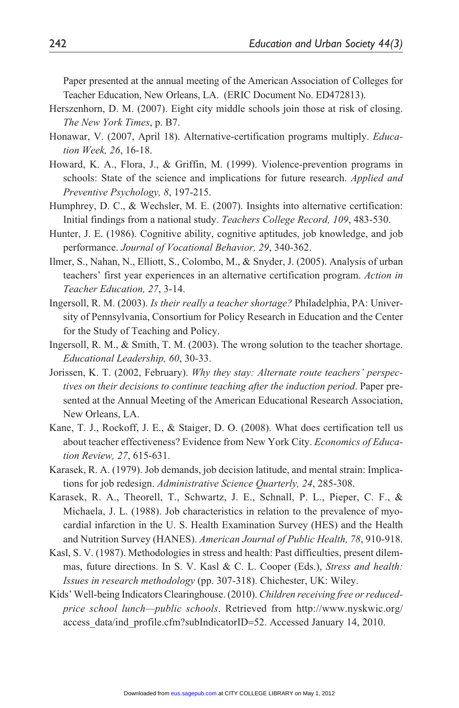Paper presented at the annual meeting of the American Association of Colleges for Teacher Education, New Orleans, LA. (ERIC Document No. ED472813).

- Herszenhorn, D. M. (2007). Eight city middle schools join those at risk of closing. *The New York Times*, p. B7.
- Honawar, V. (2007, April 18). Alternative-certification programs multiply. *Education Week, 26*, 16-18.
- Howard, K. A., Flora, J., & Griffin, M. (1999). Violence-prevention programs in schools: State of the science and implications for future research. *Applied and Preventive Psychology, 8*, 197-215.
- Humphrey, D. C., & Wechsler, M. E. (2007). Insights into alternative certification: Initial findings from a national study. *Teachers College Record, 109*, 483-530.
- Hunter, J. E. (1986). Cognitive ability, cognitive aptitudes, job knowledge, and job performance. *Journal of Vocational Behavior, 29*, 340-362.
- Ilmer, S., Nahan, N., Elliott, S., Colombo, M., & Snyder, J. (2005). Analysis of urban teachers' first year experiences in an alternative certification program. *Action in Teacher Education, 27*, 3-14.
- Ingersoll, R. M. (2003). *Is their really a teacher shortage?* Philadelphia, PA: University of Pennsylvania, Consortium for Policy Research in Education and the Center for the Study of Teaching and Policy.
- Ingersoll, R. M., & Smith, T. M. (2003). The wrong solution to the teacher shortage. *Educational Leadership, 60*, 30-33.
- Jorissen, K. T. (2002, February). *Why they stay: Alternate route teachers' perspectives on their decisions to continue teaching after the induction period*. Paper presented at the Annual Meeting of the American Educational Research Association, New Orleans, LA.
- Kane, T. J., Rockoff, J. E., & Staiger, D. O. (2008). What does certification tell us about teacher effectiveness? Evidence from New York City. *Economics of Education Review, 27*, 615-631.
- Karasek, R. A. (1979). Job demands, job decision latitude, and mental strain: Implications for job redesign. *Administrative Science Quarterly, 24*, 285-308.
- Karasek, R. A., Theorell, T., Schwartz, J. E., Schnall, P. L., Pieper, C. F., & Michaela, J. L. (1988). Job characteristics in relation to the prevalence of myocardial infarction in the U. S. Health Examination Survey (HES) and the Health and Nutrition Survey (HANES). *American Journal of Public Health, 78*, 910-918.
- Kasl, S. V. (1987). Methodologies in stress and health: Past difficulties, present dilemmas, future directions. In S. V. Kasl & C. L. Cooper (Eds.), *Stress and health: Issues in research methodology* (pp. 307-318). Chichester, UK: Wiley.
- Kids' Well-being Indicators Clearinghouse. (2010). *Children receiving free or reducedprice school lunch—public schools*. Retrieved from http://www.nyskwic.org/ access\_data/ind\_profile.cfm?subIndicatorID=52. Accessed January 14, 2010.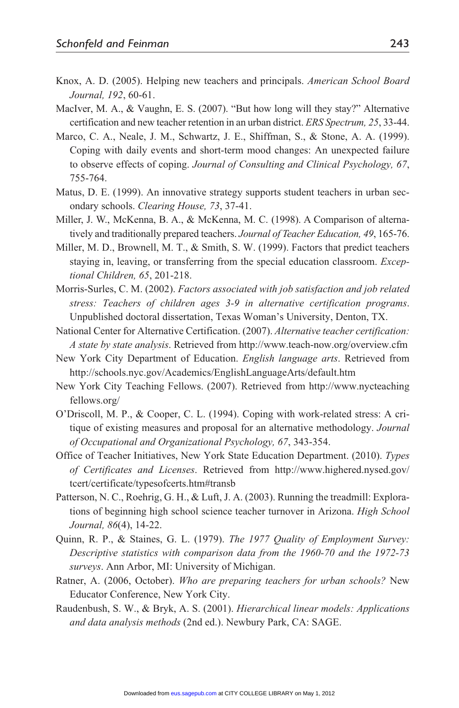- Knox, A. D. (2005). Helping new teachers and principals. *American School Board Journal, 192*, 60-61.
- MacIver, M. A., & Vaughn, E. S. (2007). "But how long will they stay?" Alternative certification and new teacher retention in an urban district. *ERS Spectrum, 25*, 33-44.
- Marco, C. A., Neale, J. M., Schwartz, J. E., Shiffman, S., & Stone, A. A. (1999). Coping with daily events and short-term mood changes: An unexpected failure to observe effects of coping. *Journal of Consulting and Clinical Psychology, 67*, 755-764.
- Matus, D. E. (1999). An innovative strategy supports student teachers in urban secondary schools. *Clearing House, 73*, 37-41.
- Miller, J. W., McKenna, B. A., & McKenna, M. C. (1998). A Comparison of alternatively and traditionally prepared teachers. *Journal of Teacher Education, 49*, 165-76.
- Miller, M. D., Brownell, M. T., & Smith, S. W. (1999). Factors that predict teachers staying in, leaving, or transferring from the special education classroom. *Exceptional Children, 65*, 201-218.
- Morris-Surles, C. M. (2002). *Factors associated with job satisfaction and job related stress: Teachers of children ages 3-9 in alternative certification programs*. Unpublished doctoral dissertation, Texas Woman's University, Denton, TX.
- National Center for Alternative Certification. (2007). *Alternative teacher certification: A state by state analysis*. Retrieved from http://www.teach-now.org/overview.cfm
- New York City Department of Education. *English language arts*. Retrieved from http://schools.nyc.gov/Academics/EnglishLanguageArts/default.htm
- New York City Teaching Fellows. (2007). Retrieved from http://www.nycteaching fellows.org/
- O'Driscoll, M. P., & Cooper, C. L. (1994). Coping with work-related stress: A critique of existing measures and proposal for an alternative methodology. *Journal of Occupational and Organizational Psychology, 67*, 343-354.
- Office of Teacher Initiatives, New York State Education Department. (2010). *Types of Certificates and Licenses*. Retrieved from http://www.highered.nysed.gov/ tcert/certificate/typesofcerts.htm#transb
- Patterson, N. C., Roehrig, G. H., & Luft, J. A. (2003). Running the treadmill: Explorations of beginning high school science teacher turnover in Arizona. *High School Journal, 86*(4), 14-22.
- Quinn, R. P., & Staines, G. L. (1979). *The 1977 Quality of Employment Survey: Descriptive statistics with comparison data from the 1960-70 and the 1972-73 surveys*. Ann Arbor, MI: University of Michigan.
- Ratner, A. (2006, October). *Who are preparing teachers for urban schools?* New Educator Conference, New York City.
- Raudenbush, S. W., & Bryk, A. S. (2001). *Hierarchical linear models: Applications and data analysis methods* (2nd ed.). Newbury Park, CA: SAGE.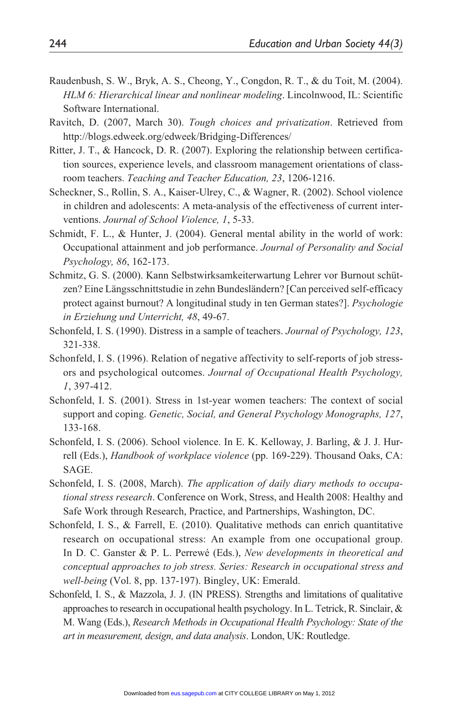- Raudenbush, S. W., Bryk, A. S., Cheong, Y., Congdon, R. T., & du Toit, M. (2004). *HLM 6: Hierarchical linear and nonlinear modeling*. Lincolnwood, IL: Scientific Software International.
- Ravitch, D. (2007, March 30). *Tough choices and privatization*. Retrieved from http://blogs.edweek.org/edweek/Bridging-Differences/
- Ritter, J. T., & Hancock, D. R. (2007). Exploring the relationship between certification sources, experience levels, and classroom management orientations of classroom teachers. *Teaching and Teacher Education, 23*, 1206-1216.
- Scheckner, S., Rollin, S. A., Kaiser-Ulrey, C., & Wagner, R. (2002). School violence in children and adolescents: A meta-analysis of the effectiveness of current interventions. *Journal of School Violence, 1*, 5-33.
- Schmidt, F. L., & Hunter, J. (2004). General mental ability in the world of work: Occupational attainment and job performance. *Journal of Personality and Social Psychology, 86*, 162-173.
- Schmitz, G. S. (2000). Kann Selbstwirksamkeiterwartung Lehrer vor Burnout schützen? Eine Längsschnittstudie in zehn Bundesländern? [Can perceived self-efficacy protect against burnout? A longitudinal study in ten German states?]. *Psychologie in Erziehung und Unterricht, 48*, 49-67.
- Schonfeld, I. S. (1990). Distress in a sample of teachers. *Journal of Psychology, 123*, 321-338.
- Schonfeld, I. S. (1996). Relation of negative affectivity to self-reports of job stressors and psychological outcomes. *Journal of Occupational Health Psychology, 1*, 397-412.
- Schonfeld, I. S. (2001). Stress in 1st-year women teachers: The context of social support and coping. *Genetic, Social, and General Psychology Monographs, 127*, 133-168.
- Schonfeld, I. S. (2006). School violence. In E. K. Kelloway, J. Barling, & J. J. Hurrell (Eds.), *Handbook of workplace violence* (pp. 169-229). Thousand Oaks, CA: SAGE.
- Schonfeld, I. S. (2008, March). *The application of daily diary methods to occupational stress research*. Conference on Work, Stress, and Health 2008: Healthy and Safe Work through Research, Practice, and Partnerships, Washington, DC.
- Schonfeld, I. S., & Farrell, E. (2010). Qualitative methods can enrich quantitative research on occupational stress: An example from one occupational group. In D. C. Ganster & P. L. Perrewé (Eds.), *New developments in theoretical and conceptual approaches to job stress. Series: Research in occupational stress and well-being* (Vol. 8, pp. 137-197). Bingley, UK: Emerald.
- Schonfeld, I. S., & Mazzola, J. J. (IN PRESS). Strengths and limitations of qualitative approaches to research in occupational health psychology. In L. Tetrick, R. Sinclair, & M. Wang (Eds.), *Research Methods in Occupational Health Psychology: State of the art in measurement, design, and data analysis*. London, UK: Routledge.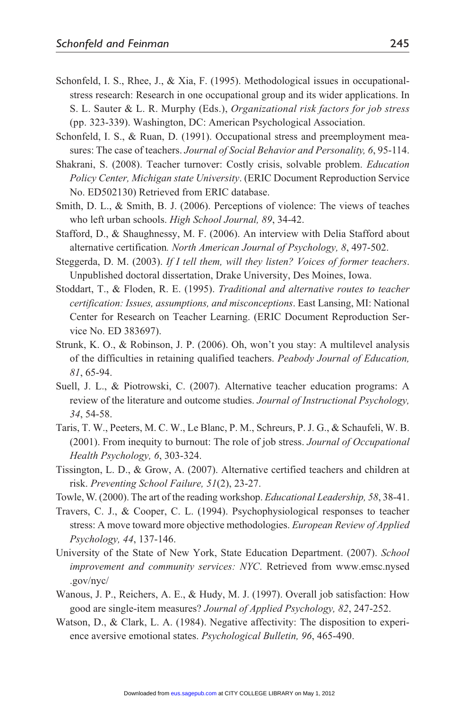- Schonfeld, I. S., Rhee, J., & Xia, F. (1995). Methodological issues in occupationalstress research: Research in one occupational group and its wider applications. In S. L. Sauter & L. R. Murphy (Eds.), *Organizational risk factors for job stress* (pp. 323-339). Washington, DC: American Psychological Association.
- Schonfeld, I. S., & Ruan, D. (1991). Occupational stress and preemployment measures: The case of teachers. *Journal of Social Behavior and Personality, 6*, 95-114.
- Shakrani, S. (2008). Teacher turnover: Costly crisis, solvable problem. *Education Policy Center, Michigan state University*. (ERIC Document Reproduction Service No. ED502130) Retrieved from ERIC database.
- Smith, D. L., & Smith, B. J. (2006). Perceptions of violence: The views of teaches who left urban schools. *High School Journal, 89*, 34-42.
- Stafford, D., & Shaughnessy, M. F. (2006). An interview with Delia Stafford about alternative certification*. North American Journal of Psychology, 8*, 497-502.
- Steggerda, D. M. (2003). *If I tell them, will they listen? Voices of former teachers*. Unpublished doctoral dissertation, Drake University, Des Moines, Iowa.
- Stoddart, T., & Floden, R. E. (1995). *Traditional and alternative routes to teacher certification: Issues, assumptions, and misconceptions*. East Lansing, MI: National Center for Research on Teacher Learning. (ERIC Document Reproduction Service No. ED 383697).
- Strunk, K. O., & Robinson, J. P. (2006). Oh, won't you stay: A multilevel analysis of the difficulties in retaining qualified teachers. *Peabody Journal of Education, 81*, 65-94.
- Suell, J. L., & Piotrowski, C. (2007). Alternative teacher education programs: A review of the literature and outcome studies. *Journal of Instructional Psychology, 34*, 54-58.
- Taris, T. W., Peeters, M. C. W., Le Blanc, P. M., Schreurs, P. J. G., & Schaufeli, W. B. (2001). From inequity to burnout: The role of job stress. *Journal of Occupational Health Psychology, 6*, 303-324.
- Tissington, L. D., & Grow, A. (2007). Alternative certified teachers and children at risk. *Preventing School Failure, 51*(2), 23-27.
- Towle, W. (2000). The art of the reading workshop. *Educational Leadership, 58*, 38-41.
- Travers, C. J., & Cooper, C. L. (1994). Psychophysiological responses to teacher stress: A move toward more objective methodologies. *European Review of Applied Psychology, 44*, 137-146.
- University of the State of New York, State Education Department. (2007). *School improvement and community services: NYC*. Retrieved from www.emsc.nysed .gov/nyc/
- Wanous, J. P., Reichers, A. E., & Hudy, M. J. (1997). Overall job satisfaction: How good are single-item measures? *Journal of Applied Psychology, 82*, 247-252.
- Watson, D., & Clark, L. A. (1984). Negative affectivity: The disposition to experience aversive emotional states. *Psychological Bulletin, 96*, 465-490.